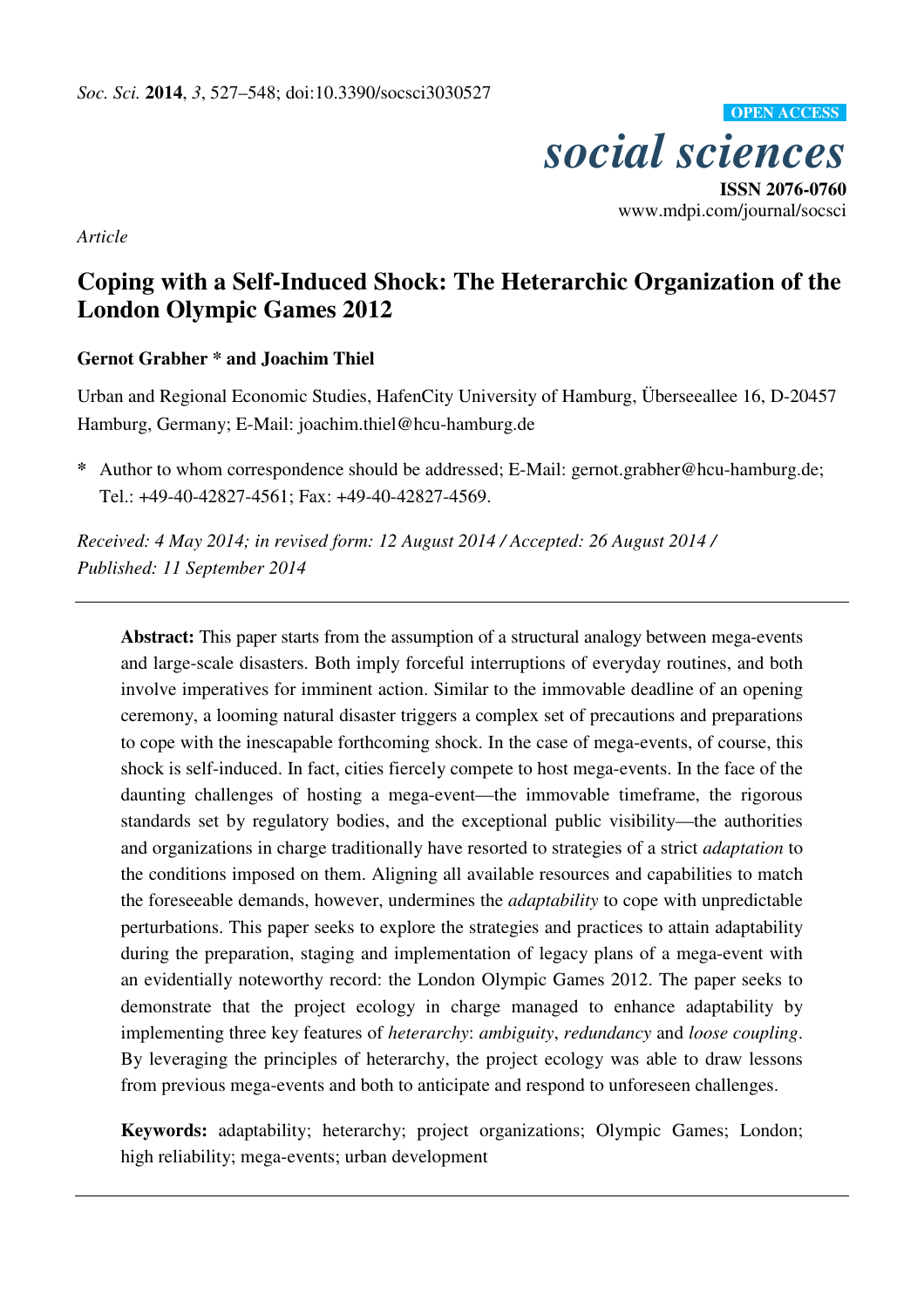

*Article*

# **Coping with a Self-Induced Shock: The Heterarchic Organization of the London Olympic Games 2012**

# **Gernot Grabher \* and Joachim Thiel**

Urban and Regional Economic Studies, HafenCity University of Hamburg, Überseeallee 16, D-20457 Hamburg, Germany; E-Mail: joachim.thiel@hcu-hamburg.de

**\*** Author to whom correspondence should be addressed; E-Mail: gernot.grabher@hcu-hamburg.de; Tel.: +49-40-42827-4561; Fax: +49-40-42827-4569.

*Received: 4 May 2014; in revised form: 12 August 2014 / Accepted: 26 August 2014 / Published: 11 September 2014* 

**Abstract:** This paper starts from the assumption of a structural analogy between mega-events and large-scale disasters. Both imply forceful interruptions of everyday routines, and both involve imperatives for imminent action. Similar to the immovable deadline of an opening ceremony, a looming natural disaster triggers a complex set of precautions and preparations to cope with the inescapable forthcoming shock. In the case of mega-events, of course, this shock is self-induced. In fact, cities fiercely compete to host mega-events. In the face of the daunting challenges of hosting a mega-event—the immovable timeframe, the rigorous standards set by regulatory bodies, and the exceptional public visibility—the authorities and organizations in charge traditionally have resorted to strategies of a strict *adaptation* to the conditions imposed on them. Aligning all available resources and capabilities to match the foreseeable demands, however, undermines the *adaptability* to cope with unpredictable perturbations. This paper seeks to explore the strategies and practices to attain adaptability during the preparation, staging and implementation of legacy plans of a mega-event with an evidentially noteworthy record: the London Olympic Games 2012. The paper seeks to demonstrate that the project ecology in charge managed to enhance adaptability by implementing three key features of *heterarchy*: *ambiguity*, *redundancy* and *loose coupling*. By leveraging the principles of heterarchy, the project ecology was able to draw lessons from previous mega-events and both to anticipate and respond to unforeseen challenges.

**Keywords:** adaptability; heterarchy; project organizations; Olympic Games; London; high reliability; mega-events; urban development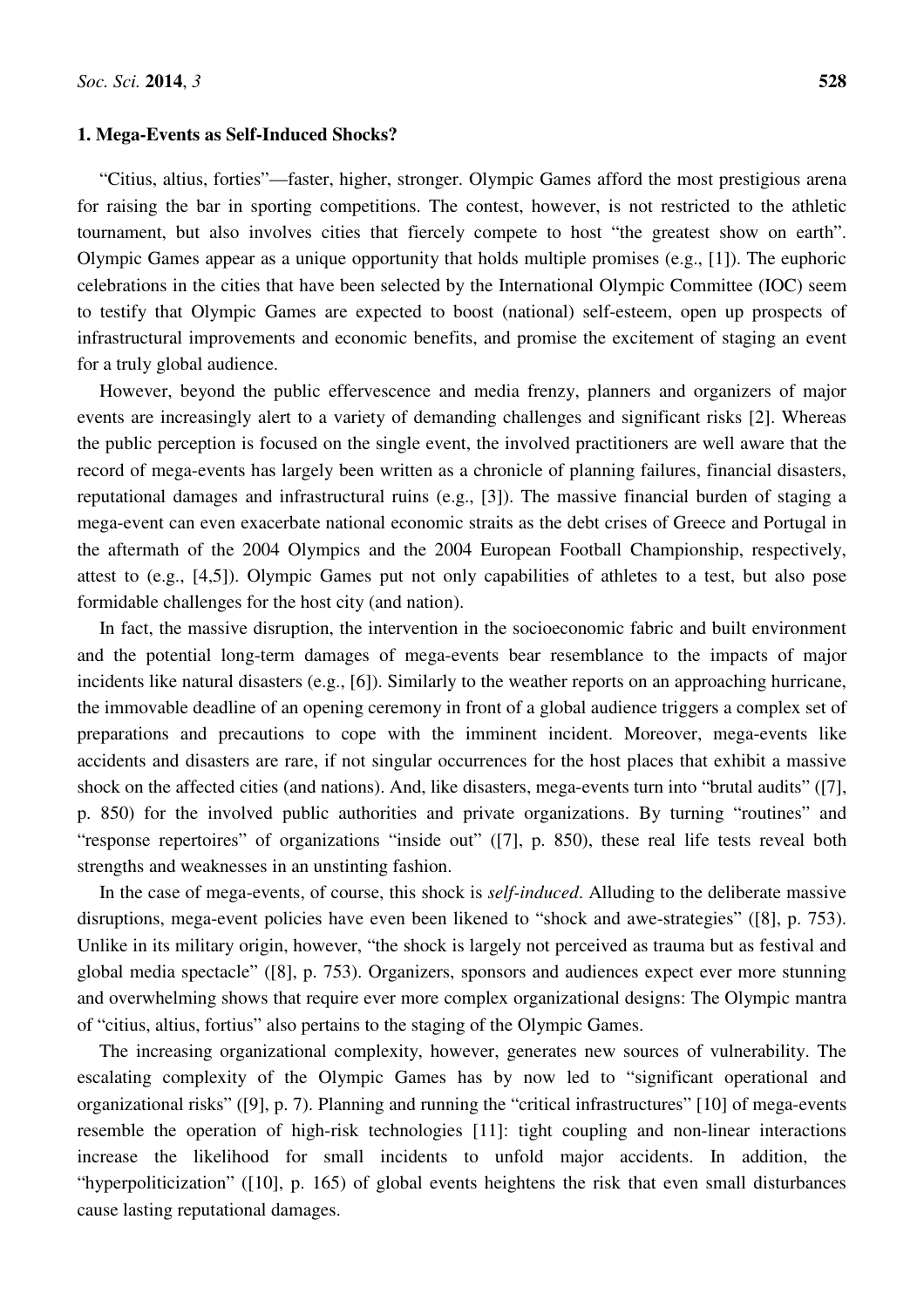### **1. Mega-Events as Self-Induced Shocks?**

"Citius, altius, forties"—faster, higher, stronger. Olympic Games afford the most prestigious arena for raising the bar in sporting competitions. The contest, however, is not restricted to the athletic tournament, but also involves cities that fiercely compete to host "the greatest show on earth". Olympic Games appear as a unique opportunity that holds multiple promises (e.g., [1]). The euphoric celebrations in the cities that have been selected by the International Olympic Committee (IOC) seem to testify that Olympic Games are expected to boost (national) self-esteem, open up prospects of infrastructural improvements and economic benefits, and promise the excitement of staging an event for a truly global audience.

However, beyond the public effervescence and media frenzy, planners and organizers of major events are increasingly alert to a variety of demanding challenges and significant risks [2]. Whereas the public perception is focused on the single event, the involved practitioners are well aware that the record of mega-events has largely been written as a chronicle of planning failures, financial disasters, reputational damages and infrastructural ruins (e.g., [3]). The massive financial burden of staging a mega-event can even exacerbate national economic straits as the debt crises of Greece and Portugal in the aftermath of the 2004 Olympics and the 2004 European Football Championship, respectively, attest to (e.g., [4,5]). Olympic Games put not only capabilities of athletes to a test, but also pose formidable challenges for the host city (and nation).

In fact, the massive disruption, the intervention in the socioeconomic fabric and built environment and the potential long-term damages of mega-events bear resemblance to the impacts of major incidents like natural disasters (e.g., [6]). Similarly to the weather reports on an approaching hurricane, the immovable deadline of an opening ceremony in front of a global audience triggers a complex set of preparations and precautions to cope with the imminent incident. Moreover, mega-events like accidents and disasters are rare, if not singular occurrences for the host places that exhibit a massive shock on the affected cities (and nations). And, like disasters, mega-events turn into "brutal audits" ([7], p. 850) for the involved public authorities and private organizations. By turning "routines" and "response repertoires" of organizations "inside out" ([7], p. 850), these real life tests reveal both strengths and weaknesses in an unstinting fashion.

In the case of mega-events, of course, this shock is *self-induced*. Alluding to the deliberate massive disruptions, mega-event policies have even been likened to "shock and awe-strategies" ([8], p. 753). Unlike in its military origin, however, "the shock is largely not perceived as trauma but as festival and global media spectacle" ([8], p. 753). Organizers, sponsors and audiences expect ever more stunning and overwhelming shows that require ever more complex organizational designs: The Olympic mantra of "citius, altius, fortius" also pertains to the staging of the Olympic Games.

The increasing organizational complexity, however, generates new sources of vulnerability. The escalating complexity of the Olympic Games has by now led to "significant operational and organizational risks" ([9], p. 7). Planning and running the "critical infrastructures" [10] of mega-events resemble the operation of high-risk technologies [11]: tight coupling and non-linear interactions increase the likelihood for small incidents to unfold major accidents. In addition, the "hyperpoliticization" ([10], p. 165) of global events heightens the risk that even small disturbances cause lasting reputational damages.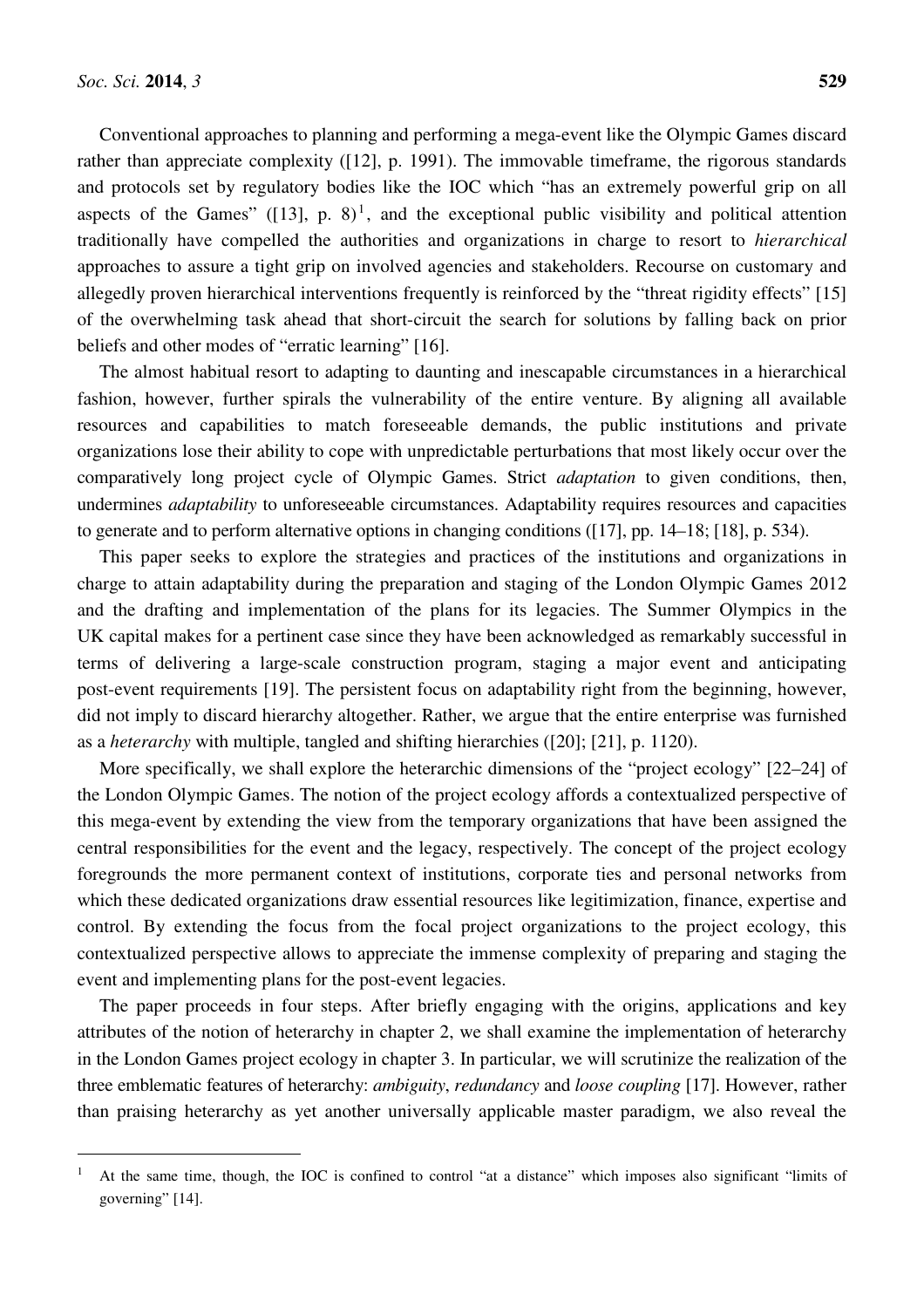l

Conventional approaches to planning and performing a mega-event like the Olympic Games discard rather than appreciate complexity ([12], p. 1991). The immovable timeframe, the rigorous standards and protocols set by regulatory bodies like the IOC which "has an extremely powerful grip on all aspects of the Games"  $([13], p. 8)^1$ , and the exceptional public visibility and political attention traditionally have compelled the authorities and organizations in charge to resort to *hierarchical* approaches to assure a tight grip on involved agencies and stakeholders. Recourse on customary and allegedly proven hierarchical interventions frequently is reinforced by the "threat rigidity effects" [15] of the overwhelming task ahead that short-circuit the search for solutions by falling back on prior beliefs and other modes of "erratic learning" [16].

The almost habitual resort to adapting to daunting and inescapable circumstances in a hierarchical fashion, however, further spirals the vulnerability of the entire venture. By aligning all available resources and capabilities to match foreseeable demands, the public institutions and private organizations lose their ability to cope with unpredictable perturbations that most likely occur over the comparatively long project cycle of Olympic Games. Strict *adaptation* to given conditions, then, undermines *adaptability* to unforeseeable circumstances. Adaptability requires resources and capacities to generate and to perform alternative options in changing conditions ([17], pp. 14–18; [18], p. 534).

This paper seeks to explore the strategies and practices of the institutions and organizations in charge to attain adaptability during the preparation and staging of the London Olympic Games 2012 and the drafting and implementation of the plans for its legacies. The Summer Olympics in the UK capital makes for a pertinent case since they have been acknowledged as remarkably successful in terms of delivering a large-scale construction program, staging a major event and anticipating post-event requirements [19]. The persistent focus on adaptability right from the beginning, however, did not imply to discard hierarchy altogether. Rather, we argue that the entire enterprise was furnished as a *heterarchy* with multiple, tangled and shifting hierarchies ([20]; [21], p. 1120).

More specifically, we shall explore the heterarchic dimensions of the "project ecology" [22–24] of the London Olympic Games. The notion of the project ecology affords a contextualized perspective of this mega-event by extending the view from the temporary organizations that have been assigned the central responsibilities for the event and the legacy, respectively. The concept of the project ecology foregrounds the more permanent context of institutions, corporate ties and personal networks from which these dedicated organizations draw essential resources like legitimization, finance, expertise and control. By extending the focus from the focal project organizations to the project ecology, this contextualized perspective allows to appreciate the immense complexity of preparing and staging the event and implementing plans for the post-event legacies.

The paper proceeds in four steps. After briefly engaging with the origins, applications and key attributes of the notion of heterarchy in chapter 2, we shall examine the implementation of heterarchy in the London Games project ecology in chapter 3. In particular, we will scrutinize the realization of the three emblematic features of heterarchy: *ambiguity*, *redundancy* and *loose coupling* [17]. However, rather than praising heterarchy as yet another universally applicable master paradigm, we also reveal the

<sup>&</sup>lt;sup>1</sup> At the same time, though, the IOC is confined to control "at a distance" which imposes also significant "limits of governing" [14].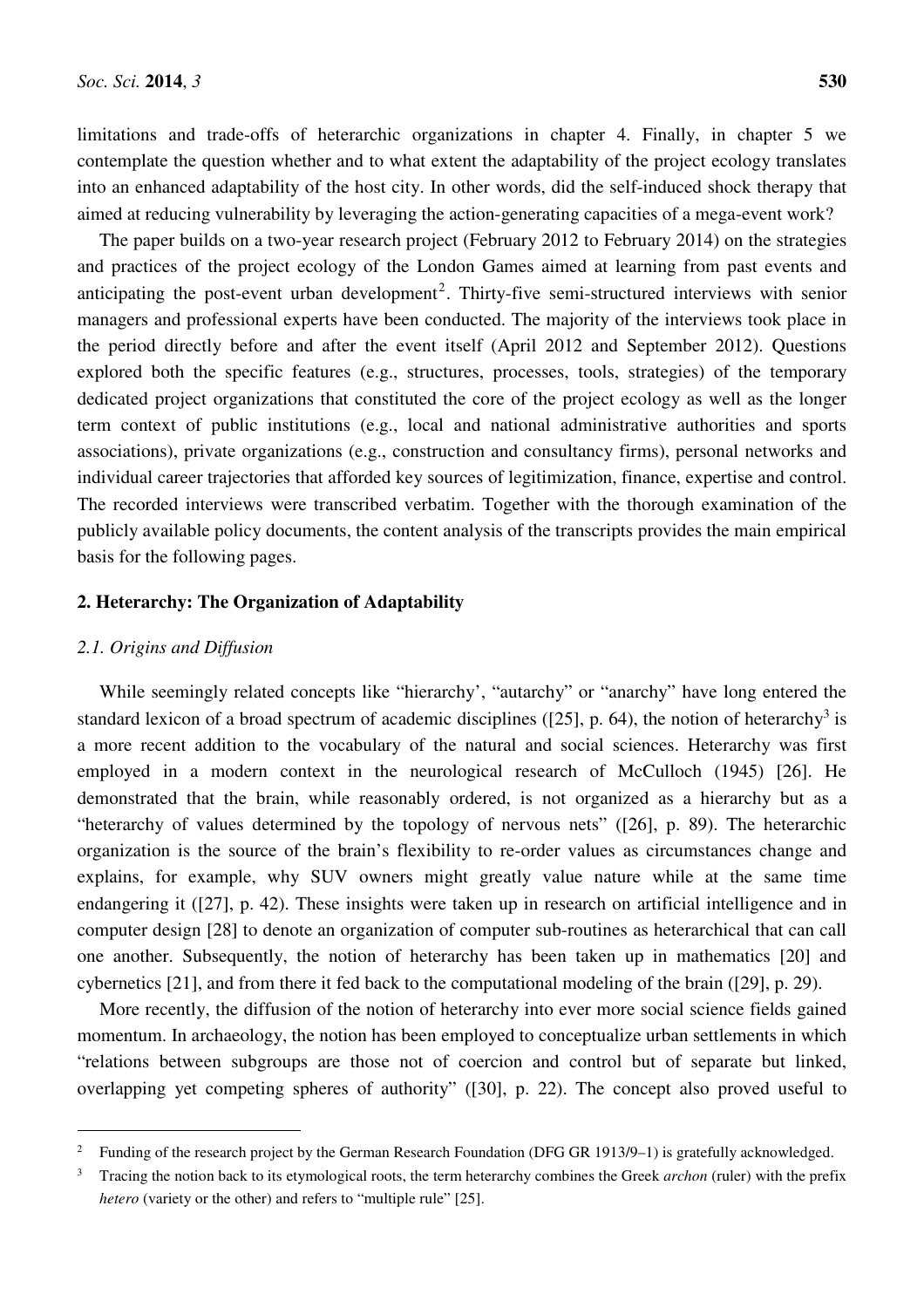limitations and trade-offs of heterarchic organizations in chapter 4. Finally, in chapter 5 we contemplate the question whether and to what extent the adaptability of the project ecology translates into an enhanced adaptability of the host city. In other words, did the self-induced shock therapy that aimed at reducing vulnerability by leveraging the action-generating capacities of a mega-event work?

The paper builds on a two-year research project (February 2012 to February 2014) on the strategies and practices of the project ecology of the London Games aimed at learning from past events and anticipating the post-event urban development<sup>2</sup>. Thirty-five semi-structured interviews with senior managers and professional experts have been conducted. The majority of the interviews took place in the period directly before and after the event itself (April 2012 and September 2012). Questions explored both the specific features (e.g., structures, processes, tools, strategies) of the temporary dedicated project organizations that constituted the core of the project ecology as well as the longer term context of public institutions (e.g., local and national administrative authorities and sports associations), private organizations (e.g., construction and consultancy firms), personal networks and individual career trajectories that afforded key sources of legitimization, finance, expertise and control. The recorded interviews were transcribed verbatim. Together with the thorough examination of the publicly available policy documents, the content analysis of the transcripts provides the main empirical basis for the following pages.

# **2. Heterarchy: The Organization of Adaptability**

## *2.1. Origins and Diffusion*

l

While seemingly related concepts like "hierarchy', "autarchy" or "anarchy" have long entered the standard lexicon of a broad spectrum of academic disciplines ( $[25]$ , p. 64), the notion of heterarchy<sup>3</sup> is a more recent addition to the vocabulary of the natural and social sciences. Heterarchy was first employed in a modern context in the neurological research of McCulloch (1945) [26]. He demonstrated that the brain, while reasonably ordered, is not organized as a hierarchy but as a "heterarchy of values determined by the topology of nervous nets" ([26], p. 89). The heterarchic organization is the source of the brain's flexibility to re-order values as circumstances change and explains, for example, why SUV owners might greatly value nature while at the same time endangering it ([27], p. 42). These insights were taken up in research on artificial intelligence and in computer design [28] to denote an organization of computer sub-routines as heterarchical that can call one another. Subsequently, the notion of heterarchy has been taken up in mathematics [20] and cybernetics [21], and from there it fed back to the computational modeling of the brain ([29], p. 29).

More recently, the diffusion of the notion of heterarchy into ever more social science fields gained momentum. In archaeology, the notion has been employed to conceptualize urban settlements in which "relations between subgroups are those not of coercion and control but of separate but linked, overlapping yet competing spheres of authority" ([30], p. 22). The concept also proved useful to

<sup>2</sup> Funding of the research project by the German Research Foundation (DFG GR 1913/9–1) is gratefully acknowledged.

<sup>3</sup> Tracing the notion back to its etymological roots, the term heterarchy combines the Greek *archon* (ruler) with the prefix *hetero* (variety or the other) and refers to "multiple rule" [25].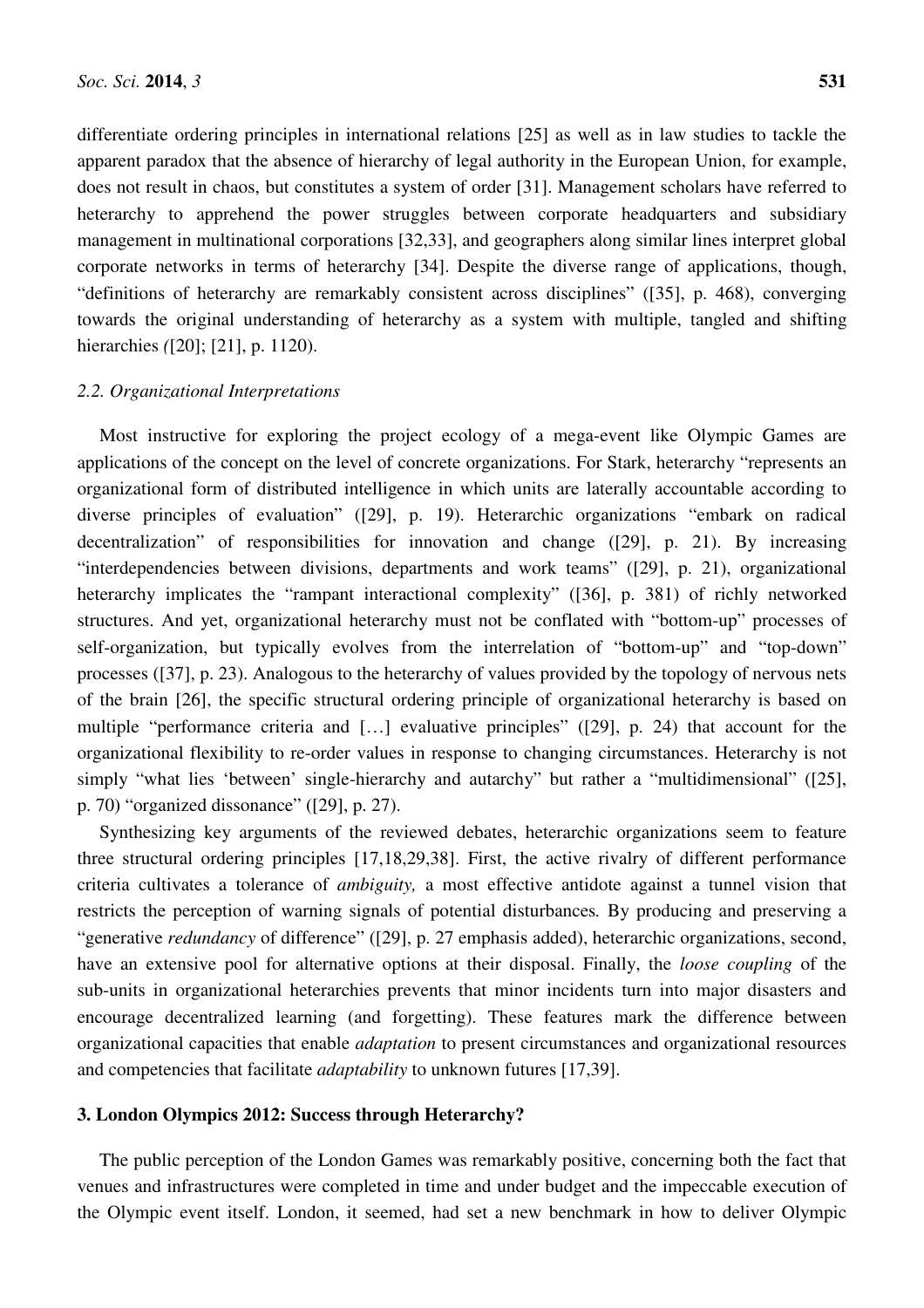differentiate ordering principles in international relations [25] as well as in law studies to tackle the apparent paradox that the absence of hierarchy of legal authority in the European Union, for example, does not result in chaos, but constitutes a system of order [31]. Management scholars have referred to heterarchy to apprehend the power struggles between corporate headquarters and subsidiary management in multinational corporations [32,33], and geographers along similar lines interpret global corporate networks in terms of heterarchy [34]. Despite the diverse range of applications, though, "definitions of heterarchy are remarkably consistent across disciplines" ([35], p. 468), converging towards the original understanding of heterarchy as a system with multiple, tangled and shifting hierarchies *(*[20]; [21], p. 1120).

#### *2.2. Organizational Interpretations*

Most instructive for exploring the project ecology of a mega-event like Olympic Games are applications of the concept on the level of concrete organizations. For Stark, heterarchy "represents an organizational form of distributed intelligence in which units are laterally accountable according to diverse principles of evaluation" ([29], p. 19). Heterarchic organizations "embark on radical decentralization" of responsibilities for innovation and change ([29], p. 21). By increasing "interdependencies between divisions, departments and work teams" ([29], p. 21), organizational heterarchy implicates the "rampant interactional complexity" ([36], p. 381) of richly networked structures. And yet, organizational heterarchy must not be conflated with "bottom-up" processes of self-organization, but typically evolves from the interrelation of "bottom-up" and "top-down" processes ([37], p. 23). Analogous to the heterarchy of values provided by the topology of nervous nets of the brain [26], the specific structural ordering principle of organizational heterarchy is based on multiple "performance criteria and […] evaluative principles" ([29], p. 24) that account for the organizational flexibility to re-order values in response to changing circumstances. Heterarchy is not simply "what lies 'between' single-hierarchy and autarchy" but rather a "multidimensional" ([25], p. 70) "organized dissonance" ([29], p. 27).

Synthesizing key arguments of the reviewed debates, heterarchic organizations seem to feature three structural ordering principles [17,18,29,38]. First, the active rivalry of different performance criteria cultivates a tolerance of *ambiguity,* a most effective antidote against a tunnel vision that restricts the perception of warning signals of potential disturbances*.* By producing and preserving a "generative *redundancy* of difference" ([29], p. 27 emphasis added), heterarchic organizations, second, have an extensive pool for alternative options at their disposal. Finally, the *loose coupling* of the sub-units in organizational heterarchies prevents that minor incidents turn into major disasters and encourage decentralized learning (and forgetting). These features mark the difference between organizational capacities that enable *adaptation* to present circumstances and organizational resources and competencies that facilitate *adaptability* to unknown futures [17,39].

### **3. London Olympics 2012: Success through Heterarchy?**

The public perception of the London Games was remarkably positive, concerning both the fact that venues and infrastructures were completed in time and under budget and the impeccable execution of the Olympic event itself. London, it seemed, had set a new benchmark in how to deliver Olympic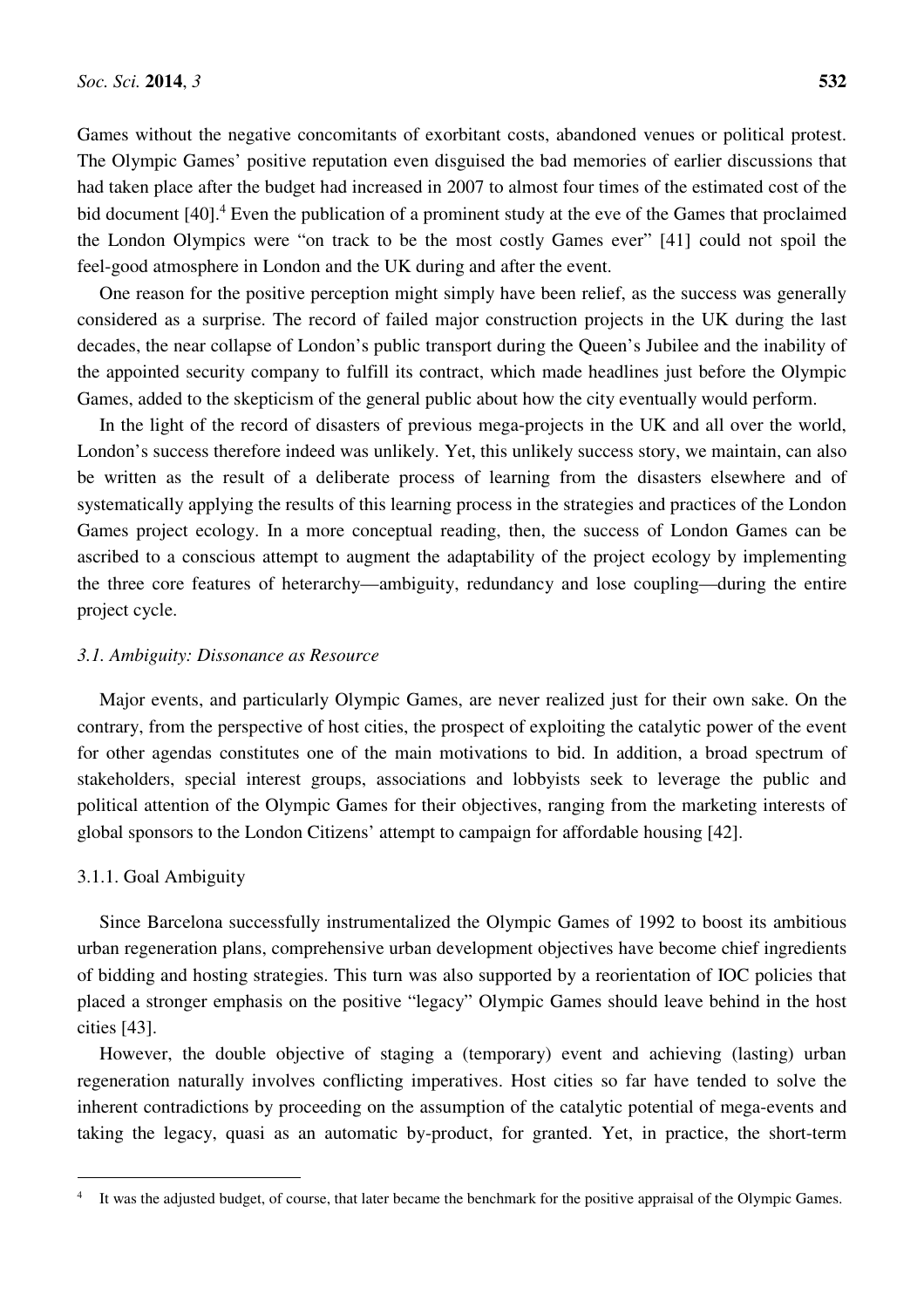Games without the negative concomitants of exorbitant costs, abandoned venues or political protest. The Olympic Games' positive reputation even disguised the bad memories of earlier discussions that had taken place after the budget had increased in 2007 to almost four times of the estimated cost of the bid document [40].<sup>4</sup> Even the publication of a prominent study at the eve of the Games that proclaimed the London Olympics were "on track to be the most costly Games ever" [41] could not spoil the feel-good atmosphere in London and the UK during and after the event.

One reason for the positive perception might simply have been relief, as the success was generally considered as a surprise. The record of failed major construction projects in the UK during the last decades, the near collapse of London's public transport during the Queen's Jubilee and the inability of the appointed security company to fulfill its contract, which made headlines just before the Olympic Games, added to the skepticism of the general public about how the city eventually would perform.

In the light of the record of disasters of previous mega-projects in the UK and all over the world, London's success therefore indeed was unlikely. Yet, this unlikely success story, we maintain, can also be written as the result of a deliberate process of learning from the disasters elsewhere and of systematically applying the results of this learning process in the strategies and practices of the London Games project ecology. In a more conceptual reading, then, the success of London Games can be ascribed to a conscious attempt to augment the adaptability of the project ecology by implementing the three core features of heterarchy—ambiguity, redundancy and lose coupling—during the entire project cycle.

# *3.1. Ambiguity: Dissonance as Resource*

Major events, and particularly Olympic Games, are never realized just for their own sake. On the contrary, from the perspective of host cities, the prospect of exploiting the catalytic power of the event for other agendas constitutes one of the main motivations to bid. In addition, a broad spectrum of stakeholders, special interest groups, associations and lobbyists seek to leverage the public and political attention of the Olympic Games for their objectives, ranging from the marketing interests of global sponsors to the London Citizens' attempt to campaign for affordable housing [42].

# 3.1.1. Goal Ambiguity

l

Since Barcelona successfully instrumentalized the Olympic Games of 1992 to boost its ambitious urban regeneration plans, comprehensive urban development objectives have become chief ingredients of bidding and hosting strategies. This turn was also supported by a reorientation of IOC policies that placed a stronger emphasis on the positive "legacy" Olympic Games should leave behind in the host cities [43].

However, the double objective of staging a (temporary) event and achieving (lasting) urban regeneration naturally involves conflicting imperatives. Host cities so far have tended to solve the inherent contradictions by proceeding on the assumption of the catalytic potential of mega-events and taking the legacy, quasi as an automatic by-product, for granted. Yet, in practice, the short-term

<sup>4</sup> It was the adjusted budget, of course, that later became the benchmark for the positive appraisal of the Olympic Games.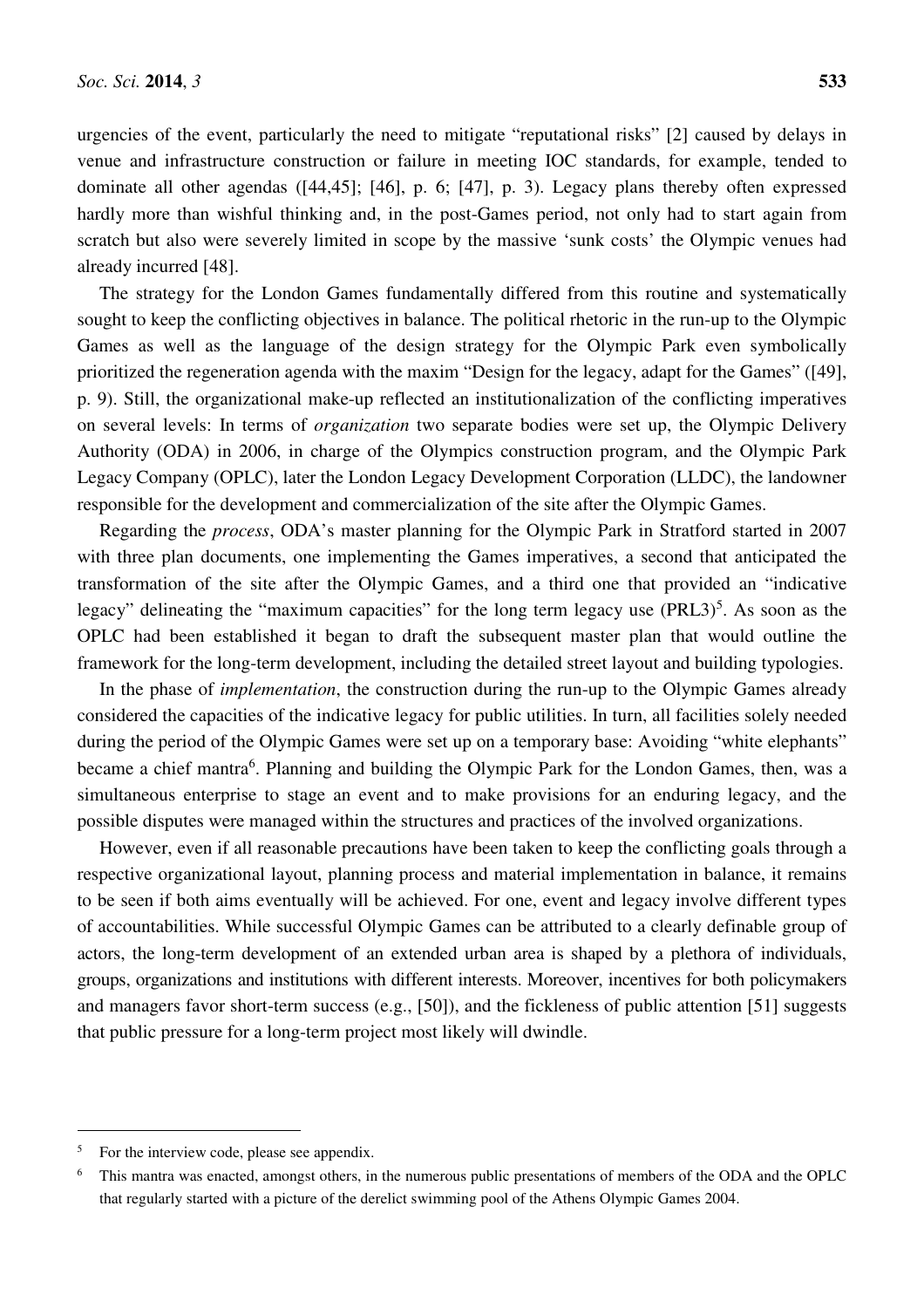urgencies of the event, particularly the need to mitigate "reputational risks" [2] caused by delays in venue and infrastructure construction or failure in meeting IOC standards, for example, tended to dominate all other agendas ([44,45]; [46], p. 6; [47], p. 3). Legacy plans thereby often expressed hardly more than wishful thinking and, in the post-Games period, not only had to start again from scratch but also were severely limited in scope by the massive 'sunk costs' the Olympic venues had already incurred [48].

The strategy for the London Games fundamentally differed from this routine and systematically sought to keep the conflicting objectives in balance. The political rhetoric in the run-up to the Olympic Games as well as the language of the design strategy for the Olympic Park even symbolically prioritized the regeneration agenda with the maxim "Design for the legacy, adapt for the Games" ([49], p. 9). Still, the organizational make-up reflected an institutionalization of the conflicting imperatives on several levels: In terms of *organization* two separate bodies were set up, the Olympic Delivery Authority (ODA) in 2006, in charge of the Olympics construction program, and the Olympic Park Legacy Company (OPLC), later the London Legacy Development Corporation (LLDC), the landowner responsible for the development and commercialization of the site after the Olympic Games.

Regarding the *process*, ODA's master planning for the Olympic Park in Stratford started in 2007 with three plan documents, one implementing the Games imperatives, a second that anticipated the transformation of the site after the Olympic Games, and a third one that provided an "indicative legacy" delineating the "maximum capacities" for the long term legacy use  $(PRL3)^5$ . As soon as the OPLC had been established it began to draft the subsequent master plan that would outline the framework for the long-term development, including the detailed street layout and building typologies.

In the phase of *implementation*, the construction during the run-up to the Olympic Games already considered the capacities of the indicative legacy for public utilities. In turn, all facilities solely needed during the period of the Olympic Games were set up on a temporary base: Avoiding "white elephants" became a chief mantra<sup>6</sup>. Planning and building the Olympic Park for the London Games, then, was a simultaneous enterprise to stage an event and to make provisions for an enduring legacy, and the possible disputes were managed within the structures and practices of the involved organizations.

However, even if all reasonable precautions have been taken to keep the conflicting goals through a respective organizational layout, planning process and material implementation in balance, it remains to be seen if both aims eventually will be achieved. For one, event and legacy involve different types of accountabilities. While successful Olympic Games can be attributed to a clearly definable group of actors, the long-term development of an extended urban area is shaped by a plethora of individuals, groups, organizations and institutions with different interests. Moreover, incentives for both policymakers and managers favor short-term success (e.g., [50]), and the fickleness of public attention [51] suggests that public pressure for a long-term project most likely will dwindle.

l

<sup>5</sup> For the interview code, please see appendix.

<sup>6</sup> This mantra was enacted, amongst others, in the numerous public presentations of members of the ODA and the OPLC that regularly started with a picture of the derelict swimming pool of the Athens Olympic Games 2004.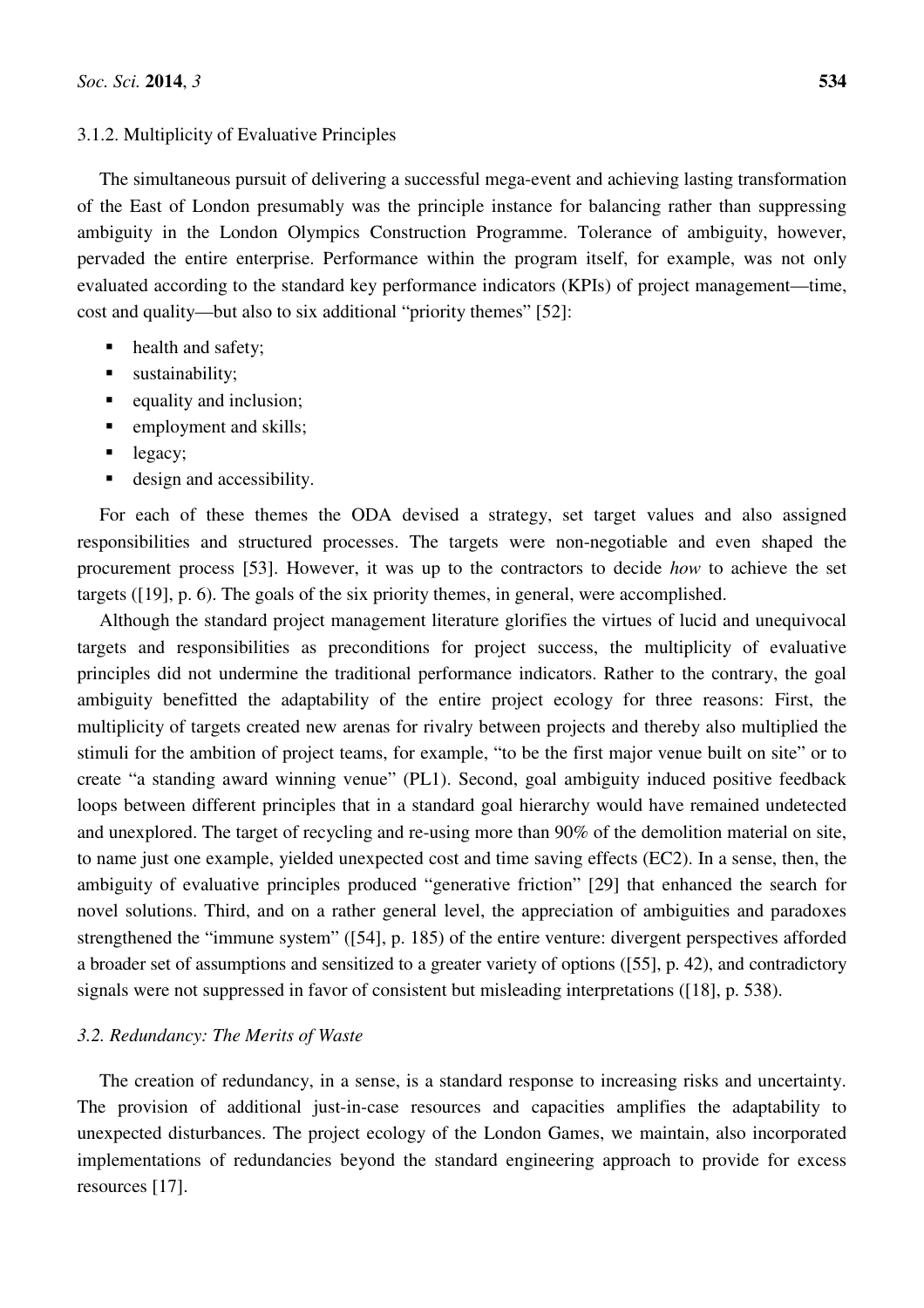# 3.1.2. Multiplicity of Evaluative Principles

The simultaneous pursuit of delivering a successful mega-event and achieving lasting transformation of the East of London presumably was the principle instance for balancing rather than suppressing ambiguity in the London Olympics Construction Programme. Tolerance of ambiguity, however, pervaded the entire enterprise. Performance within the program itself, for example, was not only evaluated according to the standard key performance indicators (KPIs) of project management—time, cost and quality—but also to six additional "priority themes" [52]:

- health and safety;
- ustainability;
- equality and inclusion;
- **employment and skills;**
- legacy;
- design and accessibility.

For each of these themes the ODA devised a strategy, set target values and also assigned responsibilities and structured processes. The targets were non-negotiable and even shaped the procurement process [53]. However, it was up to the contractors to decide *how* to achieve the set targets ([19], p. 6). The goals of the six priority themes, in general, were accomplished.

Although the standard project management literature glorifies the virtues of lucid and unequivocal targets and responsibilities as preconditions for project success, the multiplicity of evaluative principles did not undermine the traditional performance indicators. Rather to the contrary, the goal ambiguity benefitted the adaptability of the entire project ecology for three reasons: First, the multiplicity of targets created new arenas for rivalry between projects and thereby also multiplied the stimuli for the ambition of project teams, for example, "to be the first major venue built on site" or to create "a standing award winning venue" (PL1). Second, goal ambiguity induced positive feedback loops between different principles that in a standard goal hierarchy would have remained undetected and unexplored. The target of recycling and re-using more than 90% of the demolition material on site, to name just one example, yielded unexpected cost and time saving effects (EC2). In a sense, then, the ambiguity of evaluative principles produced "generative friction" [29] that enhanced the search for novel solutions. Third, and on a rather general level, the appreciation of ambiguities and paradoxes strengthened the "immune system" ([54], p. 185) of the entire venture: divergent perspectives afforded a broader set of assumptions and sensitized to a greater variety of options ([55], p. 42), and contradictory signals were not suppressed in favor of consistent but misleading interpretations ([18], p. 538).

# *3.2. Redundancy: The Merits of Waste*

The creation of redundancy, in a sense, is a standard response to increasing risks and uncertainty. The provision of additional just-in-case resources and capacities amplifies the adaptability to unexpected disturbances. The project ecology of the London Games, we maintain, also incorporated implementations of redundancies beyond the standard engineering approach to provide for excess resources [17].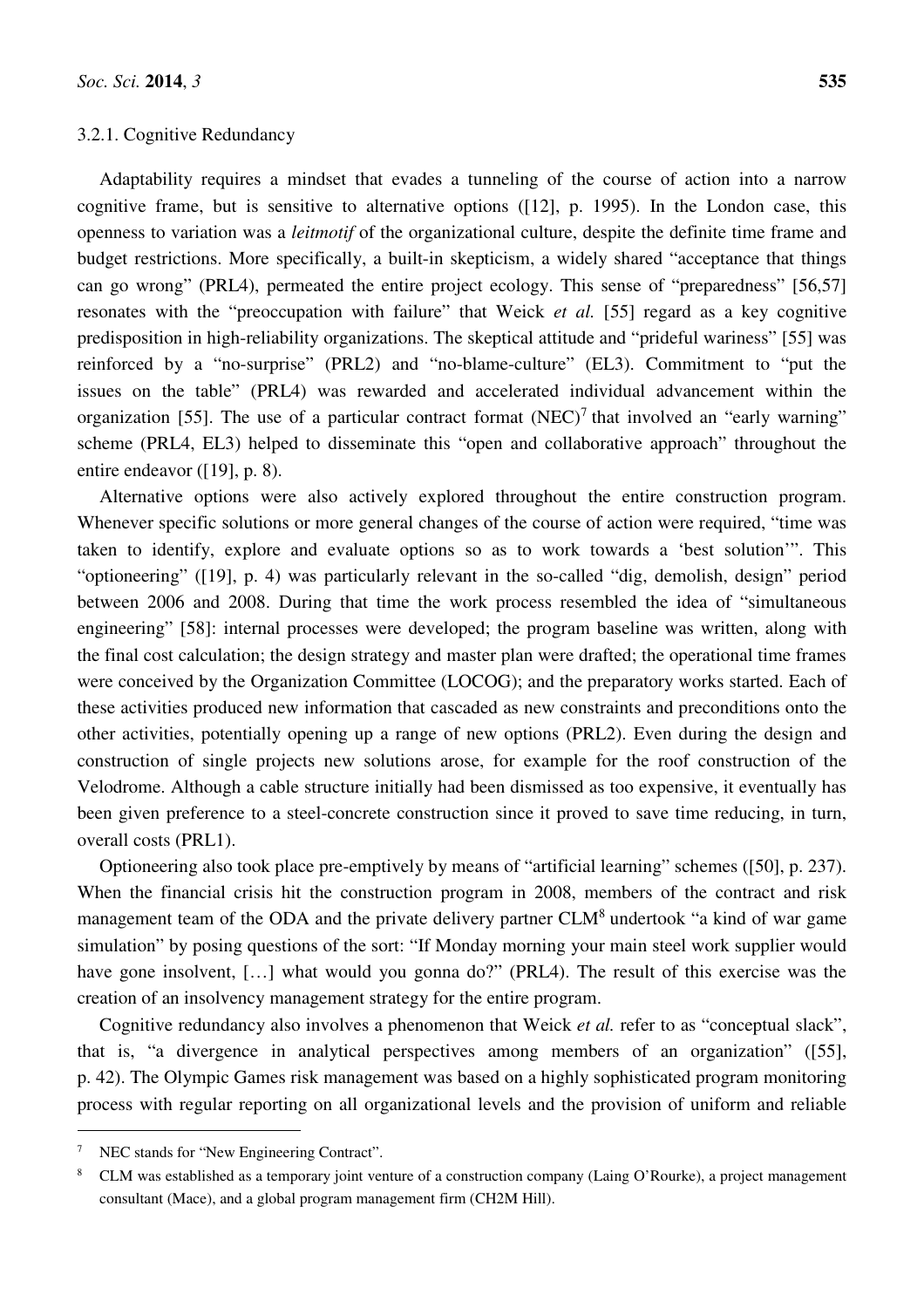# 3.2.1. Cognitive Redundancy

Adaptability requires a mindset that evades a tunneling of the course of action into a narrow cognitive frame, but is sensitive to alternative options ([12], p. 1995). In the London case, this openness to variation was a *leitmotif* of the organizational culture, despite the definite time frame and budget restrictions. More specifically, a built-in skepticism, a widely shared "acceptance that things can go wrong" (PRL4), permeated the entire project ecology. This sense of "preparedness" [56,57] resonates with the "preoccupation with failure" that Weick *et al.* [55] regard as a key cognitive predisposition in high-reliability organizations. The skeptical attitude and "prideful wariness" [55] was reinforced by a "no-surprise" (PRL2) and "no-blame-culture" (EL3). Commitment to "put the issues on the table" (PRL4) was rewarded and accelerated individual advancement within the organization [55]. The use of a particular contract format  $(NEC)^7$  that involved an "early warning" scheme (PRL4, EL3) helped to disseminate this "open and collaborative approach" throughout the entire endeavor ([19], p. 8).

Alternative options were also actively explored throughout the entire construction program. Whenever specific solutions or more general changes of the course of action were required, "time was taken to identify, explore and evaluate options so as to work towards a 'best solution'". This "optioneering" ([19], p. 4) was particularly relevant in the so-called "dig, demolish, design" period between 2006 and 2008. During that time the work process resembled the idea of "simultaneous engineering" [58]: internal processes were developed; the program baseline was written, along with the final cost calculation; the design strategy and master plan were drafted; the operational time frames were conceived by the Organization Committee (LOCOG); and the preparatory works started. Each of these activities produced new information that cascaded as new constraints and preconditions onto the other activities, potentially opening up a range of new options (PRL2). Even during the design and construction of single projects new solutions arose, for example for the roof construction of the Velodrome. Although a cable structure initially had been dismissed as too expensive, it eventually has been given preference to a steel-concrete construction since it proved to save time reducing, in turn, overall costs (PRL1).

Optioneering also took place pre-emptively by means of "artificial learning" schemes ([50], p. 237). When the financial crisis hit the construction program in 2008, members of the contract and risk management team of the ODA and the private delivery partner  $CLM<sup>8</sup>$  undertook "a kind of war game simulation" by posing questions of the sort: "If Monday morning your main steel work supplier would have gone insolvent, [...] what would you gonna do?" (PRL4). The result of this exercise was the creation of an insolvency management strategy for the entire program.

Cognitive redundancy also involves a phenomenon that Weick *et al.* refer to as "conceptual slack", that is, "a divergence in analytical perspectives among members of an organization" ([55], p. 42). The Olympic Games risk management was based on a highly sophisticated program monitoring process with regular reporting on all organizational levels and the provision of uniform and reliable

l

<sup>7</sup> NEC stands for "New Engineering Contract".

<sup>8</sup> CLM was established as a temporary joint venture of a construction company (Laing O'Rourke), a project management consultant (Mace), and a global program management firm (CH2M Hill).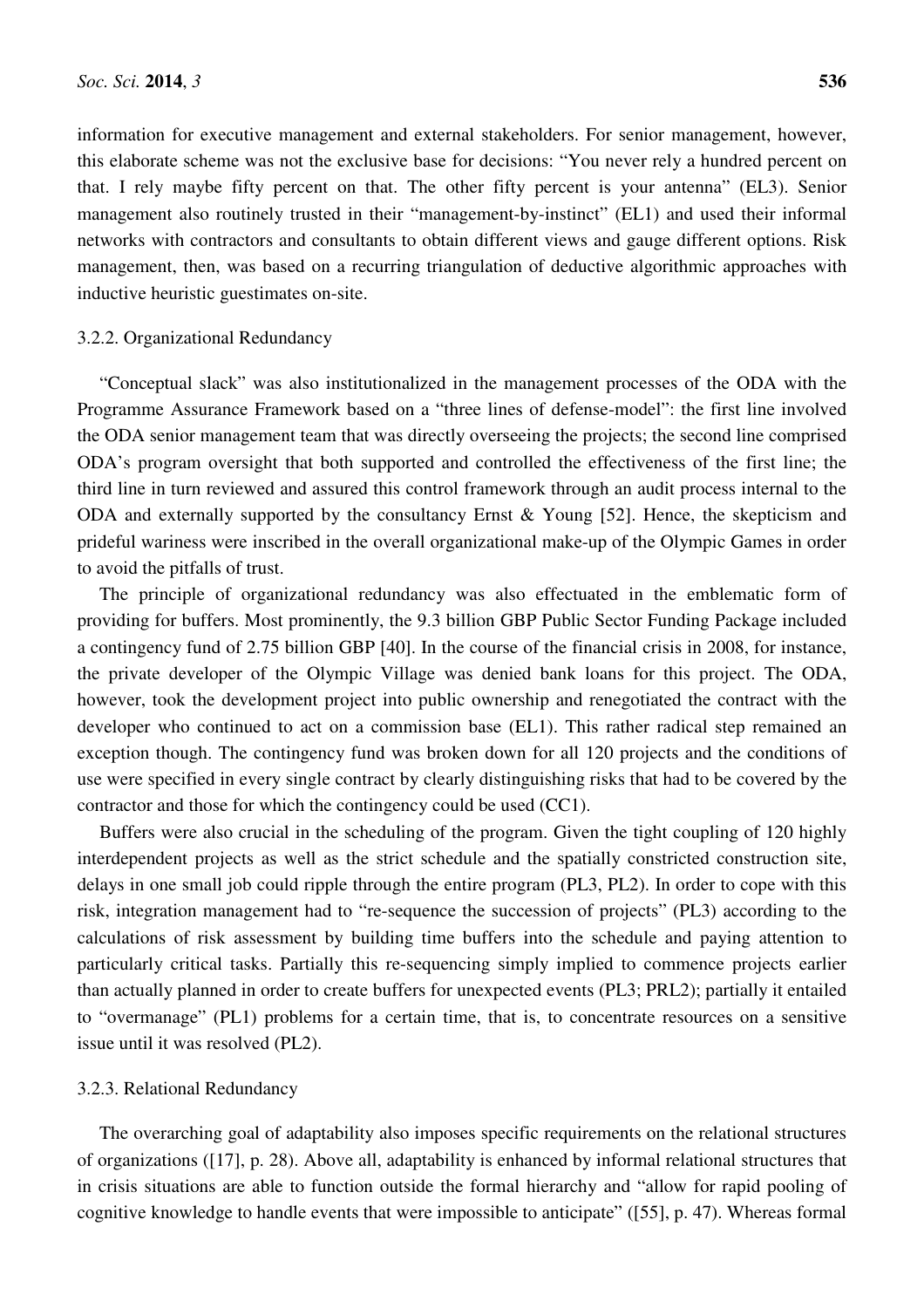information for executive management and external stakeholders. For senior management, however, this elaborate scheme was not the exclusive base for decisions: "You never rely a hundred percent on that. I rely maybe fifty percent on that. The other fifty percent is your antenna" (EL3). Senior management also routinely trusted in their "management-by-instinct" (EL1) and used their informal networks with contractors and consultants to obtain different views and gauge different options. Risk management, then, was based on a recurring triangulation of deductive algorithmic approaches with inductive heuristic guestimates on-site.

## 3.2.2. Organizational Redundancy

"Conceptual slack" was also institutionalized in the management processes of the ODA with the Programme Assurance Framework based on a "three lines of defense-model": the first line involved the ODA senior management team that was directly overseeing the projects; the second line comprised ODA's program oversight that both supported and controlled the effectiveness of the first line; the third line in turn reviewed and assured this control framework through an audit process internal to the ODA and externally supported by the consultancy Ernst  $\&$  Young [52]. Hence, the skepticism and prideful wariness were inscribed in the overall organizational make-up of the Olympic Games in order to avoid the pitfalls of trust.

The principle of organizational redundancy was also effectuated in the emblematic form of providing for buffers. Most prominently, the 9.3 billion GBP Public Sector Funding Package included a contingency fund of 2.75 billion GBP [40]. In the course of the financial crisis in 2008, for instance, the private developer of the Olympic Village was denied bank loans for this project. The ODA, however, took the development project into public ownership and renegotiated the contract with the developer who continued to act on a commission base (EL1). This rather radical step remained an exception though. The contingency fund was broken down for all 120 projects and the conditions of use were specified in every single contract by clearly distinguishing risks that had to be covered by the contractor and those for which the contingency could be used (CC1).

Buffers were also crucial in the scheduling of the program. Given the tight coupling of 120 highly interdependent projects as well as the strict schedule and the spatially constricted construction site, delays in one small job could ripple through the entire program (PL3, PL2). In order to cope with this risk, integration management had to "re-sequence the succession of projects" (PL3) according to the calculations of risk assessment by building time buffers into the schedule and paying attention to particularly critical tasks. Partially this re-sequencing simply implied to commence projects earlier than actually planned in order to create buffers for unexpected events (PL3; PRL2); partially it entailed to "overmanage" (PL1) problems for a certain time, that is, to concentrate resources on a sensitive issue until it was resolved (PL2).

#### 3.2.3. Relational Redundancy

The overarching goal of adaptability also imposes specific requirements on the relational structures of organizations ([17], p. 28). Above all, adaptability is enhanced by informal relational structures that in crisis situations are able to function outside the formal hierarchy and "allow for rapid pooling of cognitive knowledge to handle events that were impossible to anticipate" ([55], p. 47). Whereas formal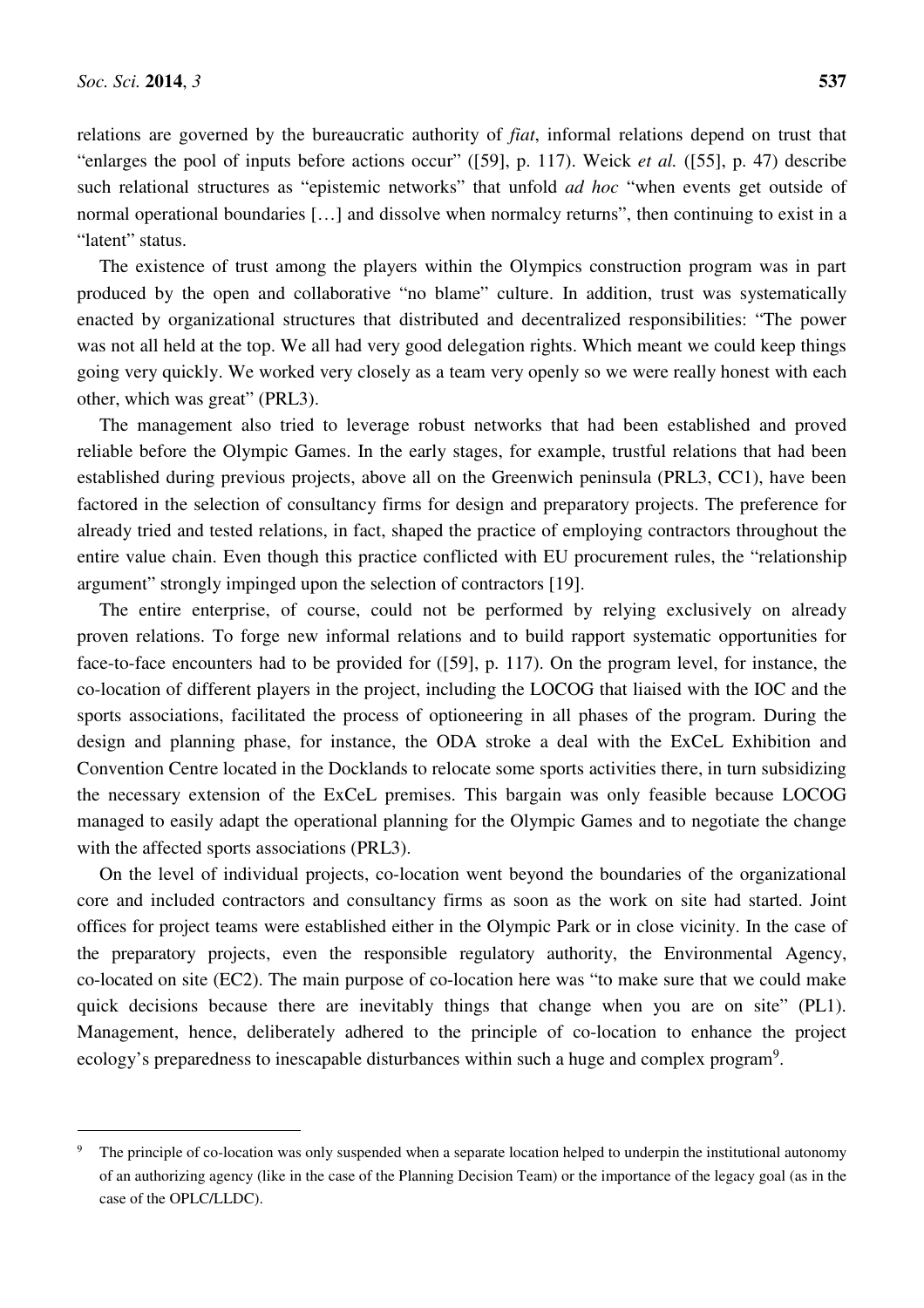l

relations are governed by the bureaucratic authority of *fiat*, informal relations depend on trust that "enlarges the pool of inputs before actions occur" ([59], p. 117). Weick *et al.* ([55], p. 47) describe such relational structures as "epistemic networks" that unfold *ad hoc* "when events get outside of normal operational boundaries […] and dissolve when normalcy returns", then continuing to exist in a "latent" status.

The existence of trust among the players within the Olympics construction program was in part produced by the open and collaborative "no blame" culture. In addition, trust was systematically enacted by organizational structures that distributed and decentralized responsibilities: "The power was not all held at the top. We all had very good delegation rights. Which meant we could keep things going very quickly. We worked very closely as a team very openly so we were really honest with each other, which was great" (PRL3).

The management also tried to leverage robust networks that had been established and proved reliable before the Olympic Games. In the early stages, for example, trustful relations that had been established during previous projects, above all on the Greenwich peninsula (PRL3, CC1), have been factored in the selection of consultancy firms for design and preparatory projects. The preference for already tried and tested relations, in fact, shaped the practice of employing contractors throughout the entire value chain. Even though this practice conflicted with EU procurement rules, the "relationship argument" strongly impinged upon the selection of contractors [19].

The entire enterprise, of course, could not be performed by relying exclusively on already proven relations. To forge new informal relations and to build rapport systematic opportunities for face-to-face encounters had to be provided for ([59], p. 117). On the program level, for instance, the co-location of different players in the project, including the LOCOG that liaised with the IOC and the sports associations, facilitated the process of optioneering in all phases of the program. During the design and planning phase, for instance, the ODA stroke a deal with the ExCeL Exhibition and Convention Centre located in the Docklands to relocate some sports activities there, in turn subsidizing the necessary extension of the ExCeL premises. This bargain was only feasible because LOCOG managed to easily adapt the operational planning for the Olympic Games and to negotiate the change with the affected sports associations (PRL3).

On the level of individual projects, co-location went beyond the boundaries of the organizational core and included contractors and consultancy firms as soon as the work on site had started. Joint offices for project teams were established either in the Olympic Park or in close vicinity. In the case of the preparatory projects, even the responsible regulatory authority, the Environmental Agency, co-located on site (EC2). The main purpose of co-location here was "to make sure that we could make quick decisions because there are inevitably things that change when you are on site" (PL1). Management, hence, deliberately adhered to the principle of co-location to enhance the project ecology's preparedness to inescapable disturbances within such a huge and complex program<sup>9</sup>.

<sup>9</sup> The principle of co-location was only suspended when a separate location helped to underpin the institutional autonomy of an authorizing agency (like in the case of the Planning Decision Team) or the importance of the legacy goal (as in the case of the OPLC/LLDC).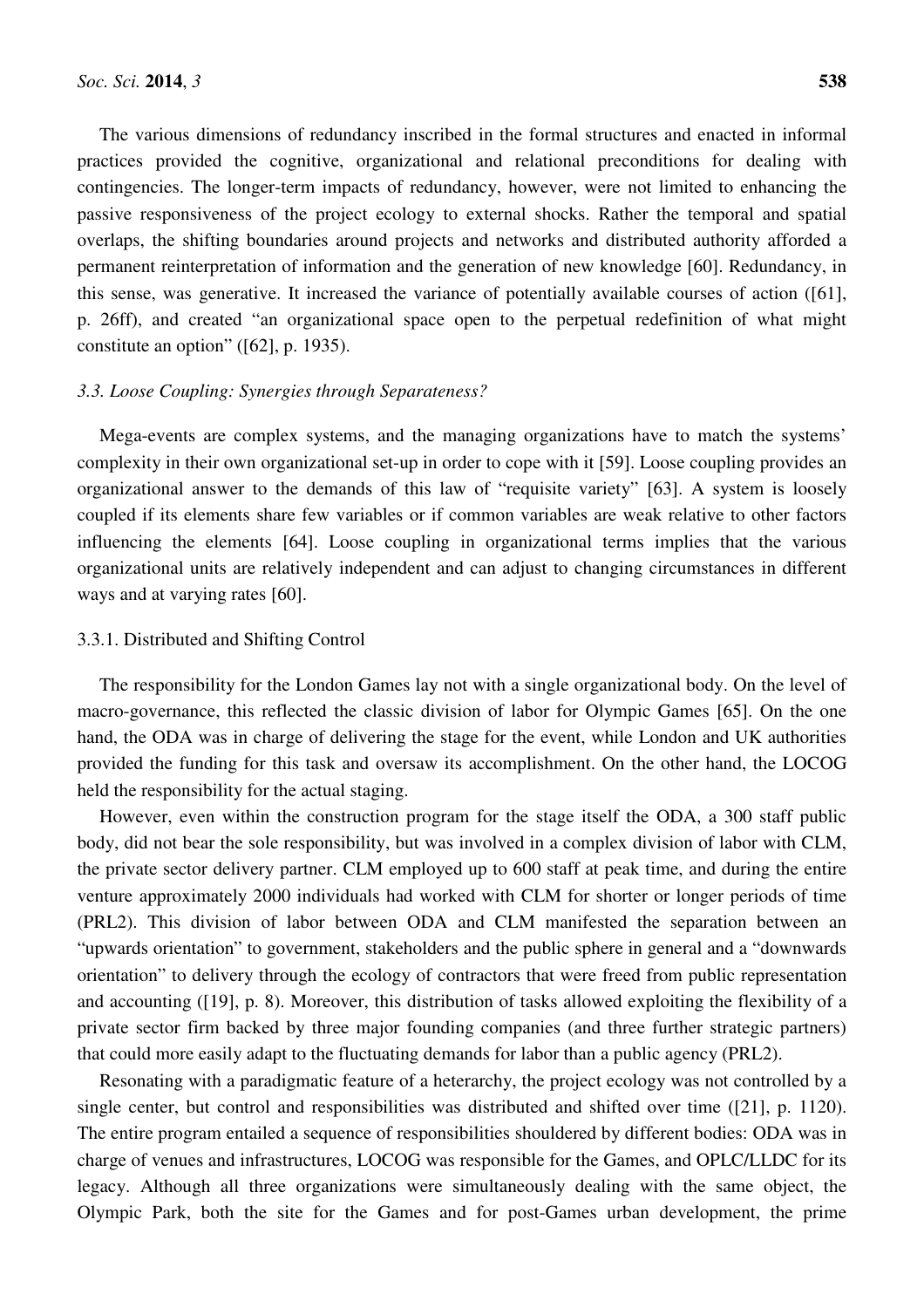The various dimensions of redundancy inscribed in the formal structures and enacted in informal practices provided the cognitive, organizational and relational preconditions for dealing with contingencies. The longer-term impacts of redundancy, however, were not limited to enhancing the passive responsiveness of the project ecology to external shocks. Rather the temporal and spatial overlaps, the shifting boundaries around projects and networks and distributed authority afforded a permanent reinterpretation of information and the generation of new knowledge [60]. Redundancy, in this sense, was generative. It increased the variance of potentially available courses of action ([61], p. 26ff), and created "an organizational space open to the perpetual redefinition of what might constitute an option" ([62], p. 1935).

# *3.3. Loose Coupling: Synergies through Separateness?*

Mega-events are complex systems, and the managing organizations have to match the systems' complexity in their own organizational set-up in order to cope with it [59]. Loose coupling provides an organizational answer to the demands of this law of "requisite variety" [63]. A system is loosely coupled if its elements share few variables or if common variables are weak relative to other factors influencing the elements [64]. Loose coupling in organizational terms implies that the various organizational units are relatively independent and can adjust to changing circumstances in different ways and at varying rates [60].

# 3.3.1. Distributed and Shifting Control

The responsibility for the London Games lay not with a single organizational body. On the level of macro-governance, this reflected the classic division of labor for Olympic Games [65]. On the one hand, the ODA was in charge of delivering the stage for the event, while London and UK authorities provided the funding for this task and oversaw its accomplishment. On the other hand, the LOCOG held the responsibility for the actual staging.

However, even within the construction program for the stage itself the ODA, a 300 staff public body, did not bear the sole responsibility, but was involved in a complex division of labor with CLM, the private sector delivery partner. CLM employed up to 600 staff at peak time, and during the entire venture approximately 2000 individuals had worked with CLM for shorter or longer periods of time (PRL2). This division of labor between ODA and CLM manifested the separation between an "upwards orientation" to government, stakeholders and the public sphere in general and a "downwards orientation" to delivery through the ecology of contractors that were freed from public representation and accounting ([19], p. 8). Moreover, this distribution of tasks allowed exploiting the flexibility of a private sector firm backed by three major founding companies (and three further strategic partners) that could more easily adapt to the fluctuating demands for labor than a public agency (PRL2).

Resonating with a paradigmatic feature of a heterarchy, the project ecology was not controlled by a single center, but control and responsibilities was distributed and shifted over time ([21], p. 1120). The entire program entailed a sequence of responsibilities shouldered by different bodies: ODA was in charge of venues and infrastructures, LOCOG was responsible for the Games, and OPLC/LLDC for its legacy. Although all three organizations were simultaneously dealing with the same object, the Olympic Park, both the site for the Games and for post-Games urban development, the prime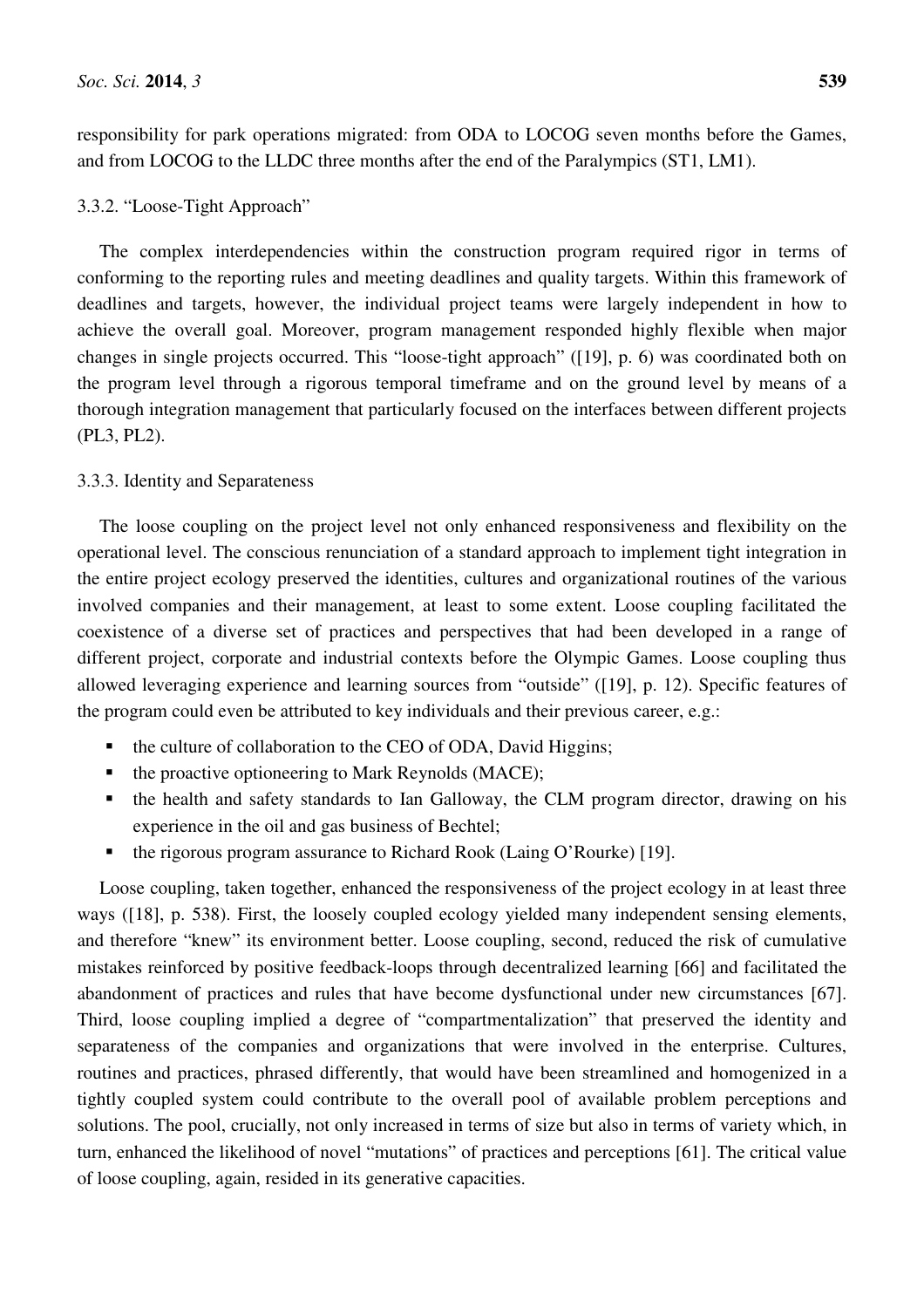responsibility for park operations migrated: from ODA to LOCOG seven months before the Games, and from LOCOG to the LLDC three months after the end of the Paralympics (ST1, LM1).

### 3.3.2. "Loose-Tight Approach"

The complex interdependencies within the construction program required rigor in terms of conforming to the reporting rules and meeting deadlines and quality targets. Within this framework of deadlines and targets, however, the individual project teams were largely independent in how to achieve the overall goal. Moreover, program management responded highly flexible when major changes in single projects occurred. This "loose-tight approach" ([19], p. 6) was coordinated both on the program level through a rigorous temporal timeframe and on the ground level by means of a thorough integration management that particularly focused on the interfaces between different projects (PL3, PL2).

# 3.3.3. Identity and Separateness

The loose coupling on the project level not only enhanced responsiveness and flexibility on the operational level. The conscious renunciation of a standard approach to implement tight integration in the entire project ecology preserved the identities, cultures and organizational routines of the various involved companies and their management, at least to some extent. Loose coupling facilitated the coexistence of a diverse set of practices and perspectives that had been developed in a range of different project, corporate and industrial contexts before the Olympic Games. Loose coupling thus allowed leveraging experience and learning sources from "outside" ([19], p. 12). Specific features of the program could even be attributed to key individuals and their previous career, e.g.:

- the culture of collaboration to the CEO of ODA, David Higgins;
- $\blacksquare$  the proactive optioneering to Mark Reynolds (MACE);
- the health and safety standards to Ian Galloway, the CLM program director, drawing on his experience in the oil and gas business of Bechtel;
- the rigorous program assurance to Richard Rook (Laing O'Rourke) [19].

Loose coupling, taken together, enhanced the responsiveness of the project ecology in at least three ways ([18], p. 538). First, the loosely coupled ecology yielded many independent sensing elements, and therefore "knew" its environment better. Loose coupling, second, reduced the risk of cumulative mistakes reinforced by positive feedback-loops through decentralized learning [66] and facilitated the abandonment of practices and rules that have become dysfunctional under new circumstances [67]. Third, loose coupling implied a degree of "compartmentalization" that preserved the identity and separateness of the companies and organizations that were involved in the enterprise. Cultures, routines and practices, phrased differently, that would have been streamlined and homogenized in a tightly coupled system could contribute to the overall pool of available problem perceptions and solutions. The pool, crucially, not only increased in terms of size but also in terms of variety which, in turn, enhanced the likelihood of novel "mutations" of practices and perceptions [61]. The critical value of loose coupling, again, resided in its generative capacities.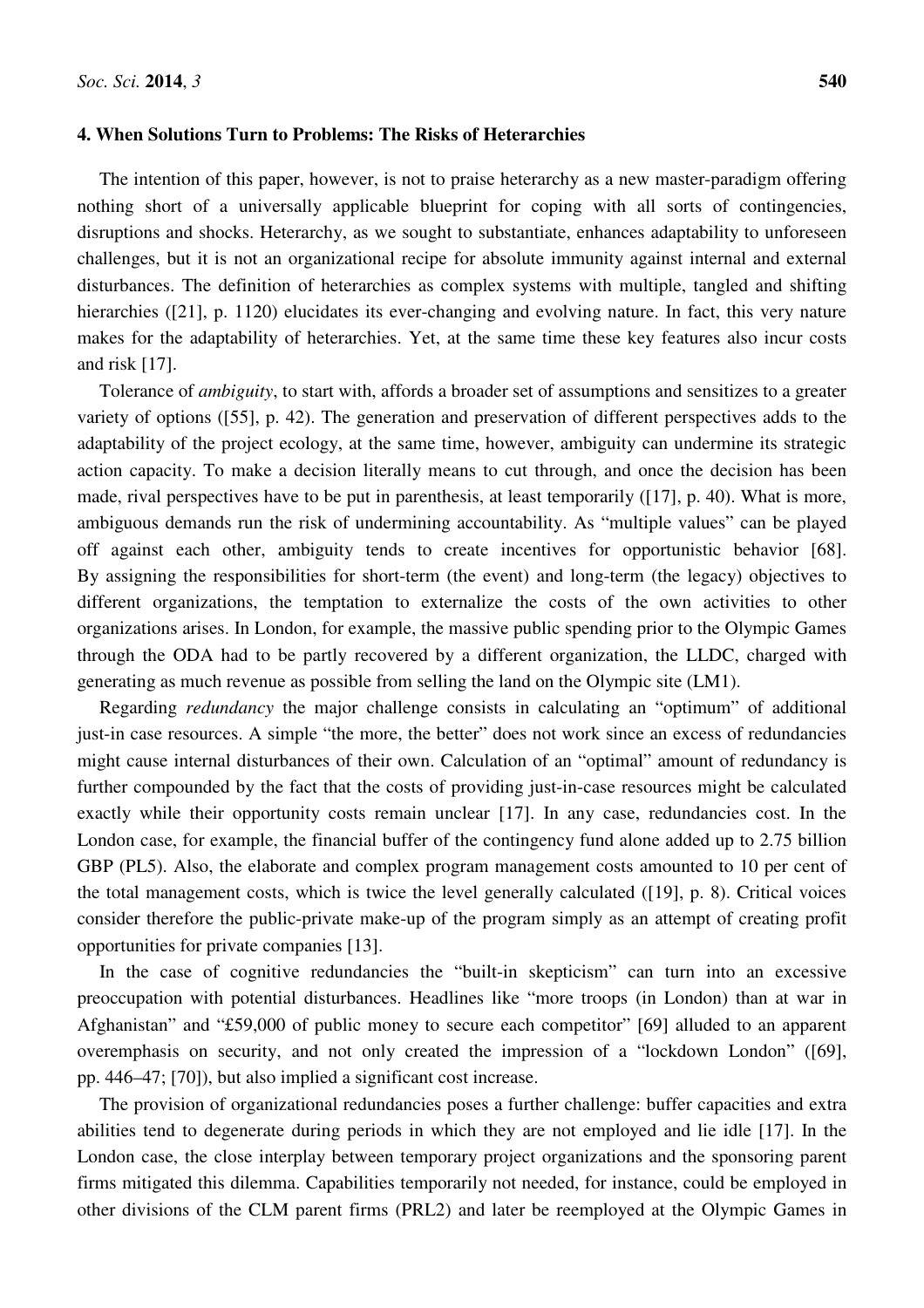#### **4. When Solutions Turn to Problems: The Risks of Heterarchies**

The intention of this paper, however, is not to praise heterarchy as a new master-paradigm offering nothing short of a universally applicable blueprint for coping with all sorts of contingencies, disruptions and shocks. Heterarchy, as we sought to substantiate, enhances adaptability to unforeseen challenges, but it is not an organizational recipe for absolute immunity against internal and external disturbances. The definition of heterarchies as complex systems with multiple, tangled and shifting hierarchies ([21], p. 1120) elucidates its ever-changing and evolving nature. In fact, this very nature makes for the adaptability of heterarchies. Yet, at the same time these key features also incur costs and risk [17].

Tolerance of *ambiguity*, to start with, affords a broader set of assumptions and sensitizes to a greater variety of options ([55], p. 42). The generation and preservation of different perspectives adds to the adaptability of the project ecology, at the same time, however, ambiguity can undermine its strategic action capacity. To make a decision literally means to cut through, and once the decision has been made, rival perspectives have to be put in parenthesis, at least temporarily ([17], p. 40). What is more, ambiguous demands run the risk of undermining accountability. As "multiple values" can be played off against each other, ambiguity tends to create incentives for opportunistic behavior [68]. By assigning the responsibilities for short-term (the event) and long-term (the legacy) objectives to different organizations, the temptation to externalize the costs of the own activities to other organizations arises. In London, for example, the massive public spending prior to the Olympic Games through the ODA had to be partly recovered by a different organization, the LLDC, charged with generating as much revenue as possible from selling the land on the Olympic site (LM1).

Regarding *redundancy* the major challenge consists in calculating an "optimum" of additional just-in case resources. A simple "the more, the better" does not work since an excess of redundancies might cause internal disturbances of their own. Calculation of an "optimal" amount of redundancy is further compounded by the fact that the costs of providing just-in-case resources might be calculated exactly while their opportunity costs remain unclear [17]. In any case, redundancies cost. In the London case, for example, the financial buffer of the contingency fund alone added up to 2.75 billion GBP (PL5). Also, the elaborate and complex program management costs amounted to 10 per cent of the total management costs, which is twice the level generally calculated ([19], p. 8). Critical voices consider therefore the public-private make-up of the program simply as an attempt of creating profit opportunities for private companies [13].

In the case of cognitive redundancies the "built-in skepticism" can turn into an excessive preoccupation with potential disturbances. Headlines like "more troops (in London) than at war in Afghanistan" and "£59,000 of public money to secure each competitor" [69] alluded to an apparent overemphasis on security, and not only created the impression of a "lockdown London" ([69], pp. 446–47; [70]), but also implied a significant cost increase.

The provision of organizational redundancies poses a further challenge: buffer capacities and extra abilities tend to degenerate during periods in which they are not employed and lie idle [17]. In the London case, the close interplay between temporary project organizations and the sponsoring parent firms mitigated this dilemma. Capabilities temporarily not needed, for instance, could be employed in other divisions of the CLM parent firms (PRL2) and later be reemployed at the Olympic Games in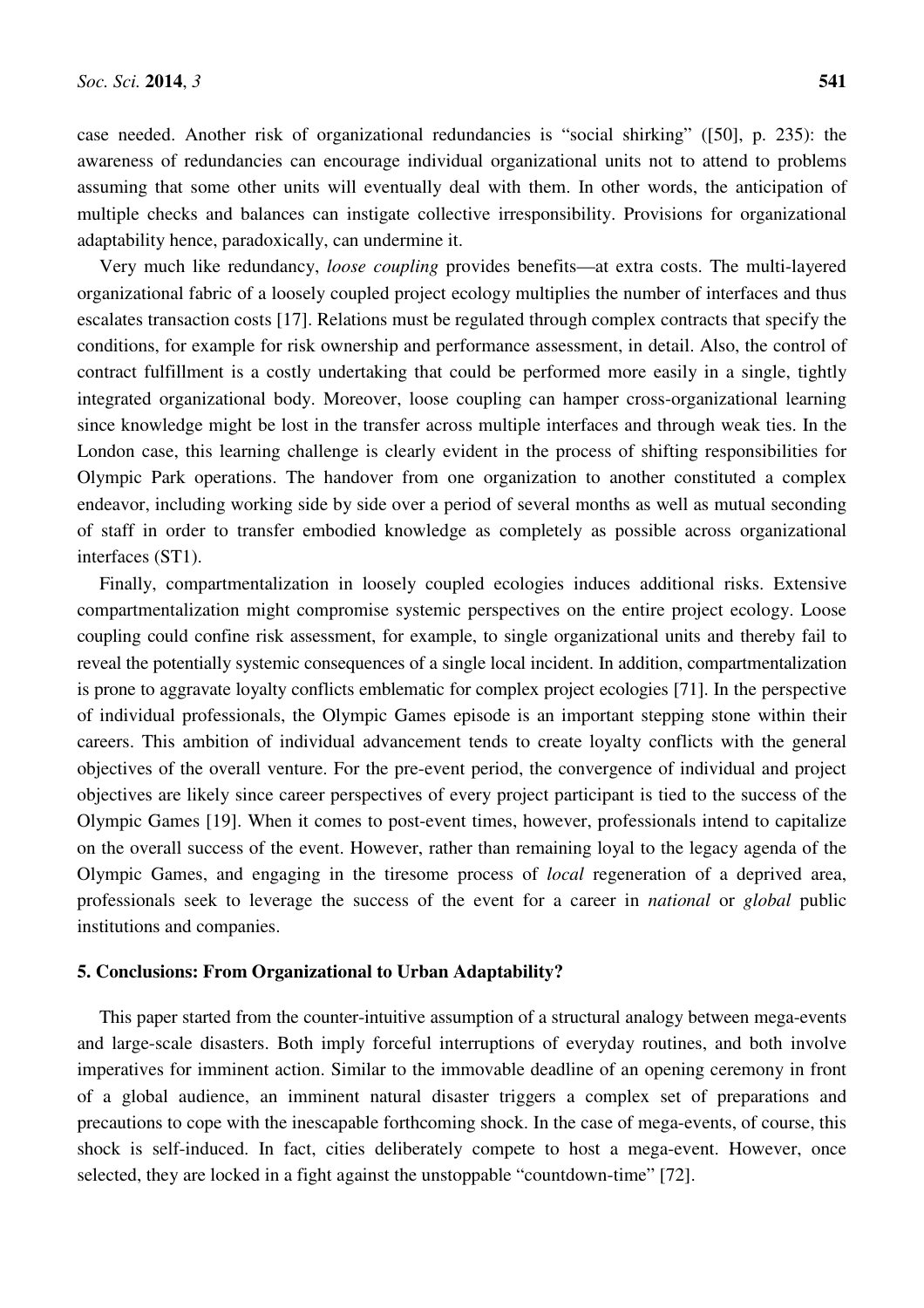case needed. Another risk of organizational redundancies is "social shirking" ([50], p. 235): the awareness of redundancies can encourage individual organizational units not to attend to problems assuming that some other units will eventually deal with them. In other words, the anticipation of multiple checks and balances can instigate collective irresponsibility. Provisions for organizational adaptability hence, paradoxically, can undermine it.

Very much like redundancy, *loose coupling* provides benefits—at extra costs. The multi-layered organizational fabric of a loosely coupled project ecology multiplies the number of interfaces and thus escalates transaction costs [17]. Relations must be regulated through complex contracts that specify the conditions, for example for risk ownership and performance assessment, in detail. Also, the control of contract fulfillment is a costly undertaking that could be performed more easily in a single, tightly integrated organizational body. Moreover, loose coupling can hamper cross-organizational learning since knowledge might be lost in the transfer across multiple interfaces and through weak ties. In the London case, this learning challenge is clearly evident in the process of shifting responsibilities for Olympic Park operations. The handover from one organization to another constituted a complex endeavor, including working side by side over a period of several months as well as mutual seconding of staff in order to transfer embodied knowledge as completely as possible across organizational interfaces (ST1).

Finally, compartmentalization in loosely coupled ecologies induces additional risks. Extensive compartmentalization might compromise systemic perspectives on the entire project ecology. Loose coupling could confine risk assessment, for example, to single organizational units and thereby fail to reveal the potentially systemic consequences of a single local incident. In addition, compartmentalization is prone to aggravate loyalty conflicts emblematic for complex project ecologies [71]. In the perspective of individual professionals, the Olympic Games episode is an important stepping stone within their careers. This ambition of individual advancement tends to create loyalty conflicts with the general objectives of the overall venture. For the pre-event period, the convergence of individual and project objectives are likely since career perspectives of every project participant is tied to the success of the Olympic Games [19]. When it comes to post-event times, however, professionals intend to capitalize on the overall success of the event. However, rather than remaining loyal to the legacy agenda of the Olympic Games, and engaging in the tiresome process of *local* regeneration of a deprived area, professionals seek to leverage the success of the event for a career in *national* or *global* public institutions and companies.

# **5. Conclusions: From Organizational to Urban Adaptability?**

This paper started from the counter-intuitive assumption of a structural analogy between mega-events and large-scale disasters. Both imply forceful interruptions of everyday routines, and both involve imperatives for imminent action. Similar to the immovable deadline of an opening ceremony in front of a global audience, an imminent natural disaster triggers a complex set of preparations and precautions to cope with the inescapable forthcoming shock. In the case of mega-events, of course, this shock is self-induced. In fact, cities deliberately compete to host a mega-event. However, once selected, they are locked in a fight against the unstoppable "countdown-time" [72].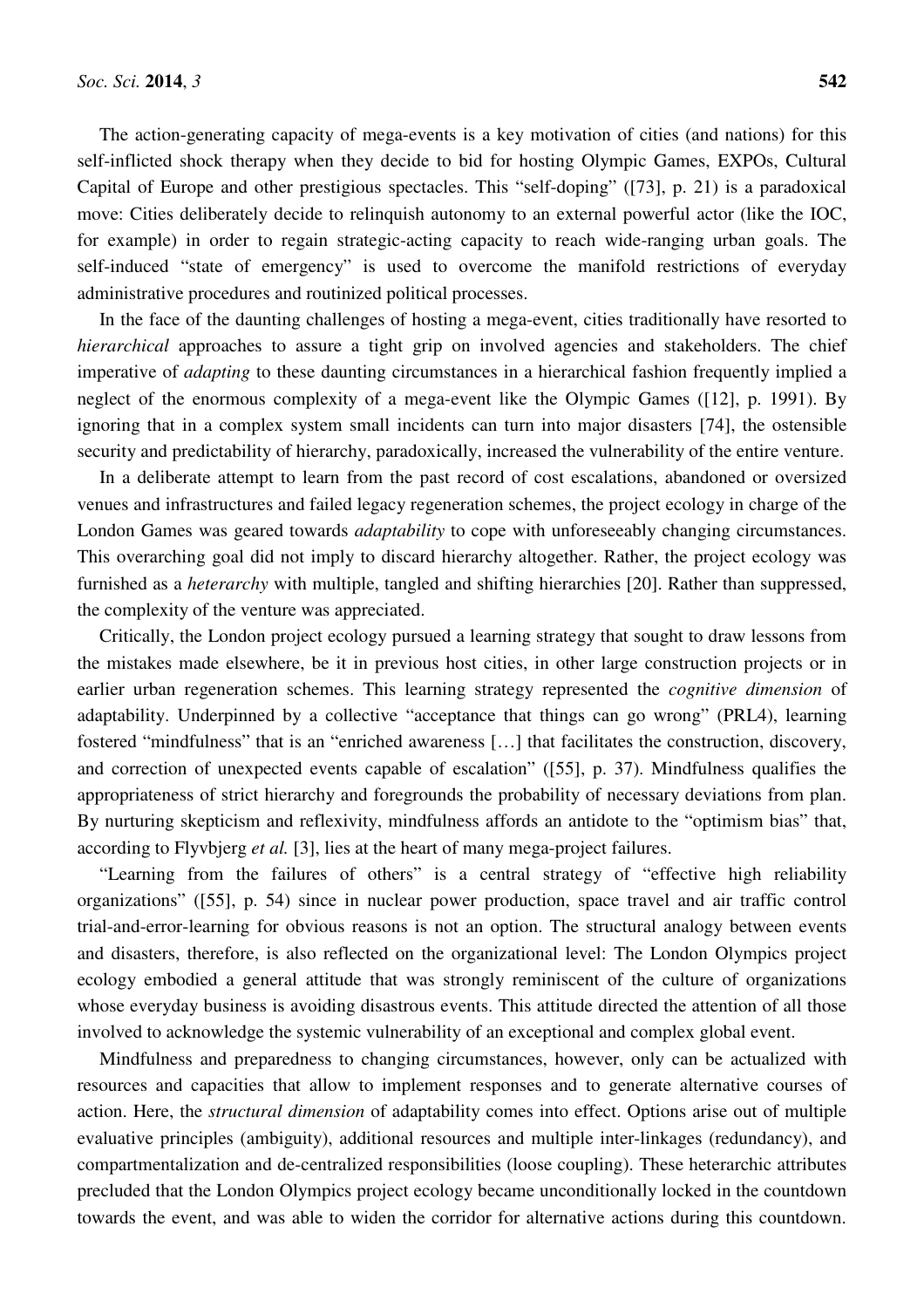The action-generating capacity of mega-events is a key motivation of cities (and nations) for this self-inflicted shock therapy when they decide to bid for hosting Olympic Games, EXPOs, Cultural Capital of Europe and other prestigious spectacles. This "self-doping" ([73], p. 21) is a paradoxical move: Cities deliberately decide to relinquish autonomy to an external powerful actor (like the IOC, for example) in order to regain strategic-acting capacity to reach wide-ranging urban goals. The self-induced "state of emergency" is used to overcome the manifold restrictions of everyday administrative procedures and routinized political processes.

In the face of the daunting challenges of hosting a mega-event, cities traditionally have resorted to *hierarchical* approaches to assure a tight grip on involved agencies and stakeholders. The chief imperative of *adapting* to these daunting circumstances in a hierarchical fashion frequently implied a neglect of the enormous complexity of a mega-event like the Olympic Games ([12], p. 1991). By ignoring that in a complex system small incidents can turn into major disasters [74], the ostensible security and predictability of hierarchy, paradoxically, increased the vulnerability of the entire venture.

In a deliberate attempt to learn from the past record of cost escalations, abandoned or oversized venues and infrastructures and failed legacy regeneration schemes, the project ecology in charge of the London Games was geared towards *adaptability* to cope with unforeseeably changing circumstances. This overarching goal did not imply to discard hierarchy altogether. Rather, the project ecology was furnished as a *heterarchy* with multiple, tangled and shifting hierarchies [20]. Rather than suppressed, the complexity of the venture was appreciated.

Critically, the London project ecology pursued a learning strategy that sought to draw lessons from the mistakes made elsewhere, be it in previous host cities, in other large construction projects or in earlier urban regeneration schemes. This learning strategy represented the *cognitive dimension* of adaptability. Underpinned by a collective "acceptance that things can go wrong" (PRL4), learning fostered "mindfulness" that is an "enriched awareness […] that facilitates the construction, discovery, and correction of unexpected events capable of escalation" ([55], p. 37). Mindfulness qualifies the appropriateness of strict hierarchy and foregrounds the probability of necessary deviations from plan. By nurturing skepticism and reflexivity, mindfulness affords an antidote to the "optimism bias" that, according to Flyvbjerg *et al.* [3], lies at the heart of many mega-project failures.

"Learning from the failures of others" is a central strategy of "effective high reliability organizations" ([55], p. 54) since in nuclear power production, space travel and air traffic control trial-and-error-learning for obvious reasons is not an option. The structural analogy between events and disasters, therefore, is also reflected on the organizational level: The London Olympics project ecology embodied a general attitude that was strongly reminiscent of the culture of organizations whose everyday business is avoiding disastrous events. This attitude directed the attention of all those involved to acknowledge the systemic vulnerability of an exceptional and complex global event.

Mindfulness and preparedness to changing circumstances, however, only can be actualized with resources and capacities that allow to implement responses and to generate alternative courses of action. Here, the *structural dimension* of adaptability comes into effect. Options arise out of multiple evaluative principles (ambiguity), additional resources and multiple inter-linkages (redundancy), and compartmentalization and de-centralized responsibilities (loose coupling). These heterarchic attributes precluded that the London Olympics project ecology became unconditionally locked in the countdown towards the event, and was able to widen the corridor for alternative actions during this countdown.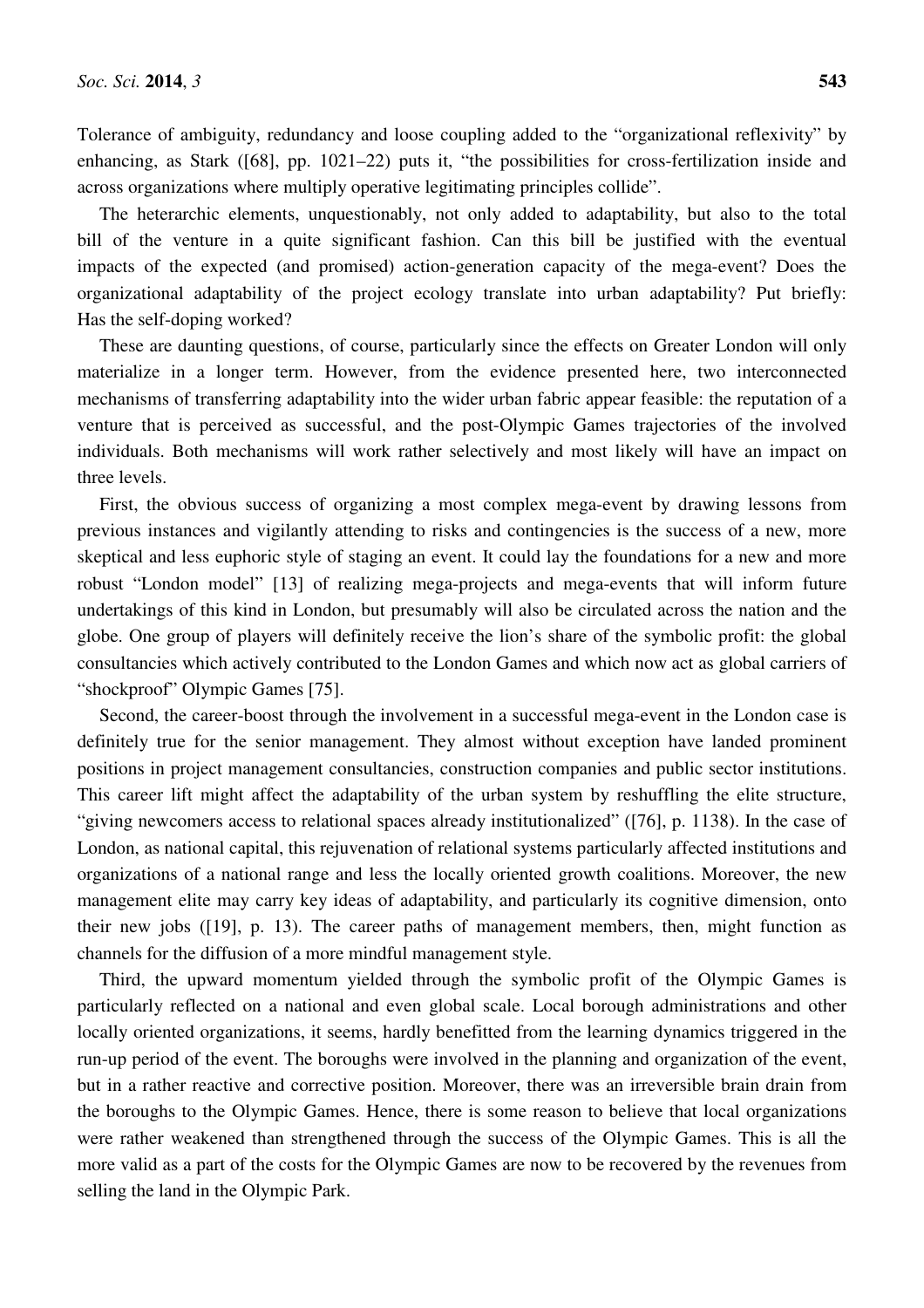Tolerance of ambiguity, redundancy and loose coupling added to the "organizational reflexivity" by enhancing, as Stark ([68], pp. 1021–22) puts it, "the possibilities for cross-fertilization inside and across organizations where multiply operative legitimating principles collide".

The heterarchic elements, unquestionably, not only added to adaptability, but also to the total bill of the venture in a quite significant fashion. Can this bill be justified with the eventual impacts of the expected (and promised) action-generation capacity of the mega-event? Does the organizational adaptability of the project ecology translate into urban adaptability? Put briefly: Has the self-doping worked?

These are daunting questions, of course, particularly since the effects on Greater London will only materialize in a longer term. However, from the evidence presented here, two interconnected mechanisms of transferring adaptability into the wider urban fabric appear feasible: the reputation of a venture that is perceived as successful, and the post-Olympic Games trajectories of the involved individuals. Both mechanisms will work rather selectively and most likely will have an impact on three levels.

First, the obvious success of organizing a most complex mega-event by drawing lessons from previous instances and vigilantly attending to risks and contingencies is the success of a new, more skeptical and less euphoric style of staging an event. It could lay the foundations for a new and more robust "London model" [13] of realizing mega-projects and mega-events that will inform future undertakings of this kind in London, but presumably will also be circulated across the nation and the globe. One group of players will definitely receive the lion's share of the symbolic profit: the global consultancies which actively contributed to the London Games and which now act as global carriers of "shockproof" Olympic Games [75].

Second, the career-boost through the involvement in a successful mega-event in the London case is definitely true for the senior management. They almost without exception have landed prominent positions in project management consultancies, construction companies and public sector institutions. This career lift might affect the adaptability of the urban system by reshuffling the elite structure, "giving newcomers access to relational spaces already institutionalized" ([76], p. 1138). In the case of London, as national capital, this rejuvenation of relational systems particularly affected institutions and organizations of a national range and less the locally oriented growth coalitions. Moreover, the new management elite may carry key ideas of adaptability, and particularly its cognitive dimension, onto their new jobs ([19], p. 13). The career paths of management members, then, might function as channels for the diffusion of a more mindful management style.

Third, the upward momentum yielded through the symbolic profit of the Olympic Games is particularly reflected on a national and even global scale. Local borough administrations and other locally oriented organizations, it seems, hardly benefitted from the learning dynamics triggered in the run-up period of the event. The boroughs were involved in the planning and organization of the event, but in a rather reactive and corrective position. Moreover, there was an irreversible brain drain from the boroughs to the Olympic Games. Hence, there is some reason to believe that local organizations were rather weakened than strengthened through the success of the Olympic Games. This is all the more valid as a part of the costs for the Olympic Games are now to be recovered by the revenues from selling the land in the Olympic Park.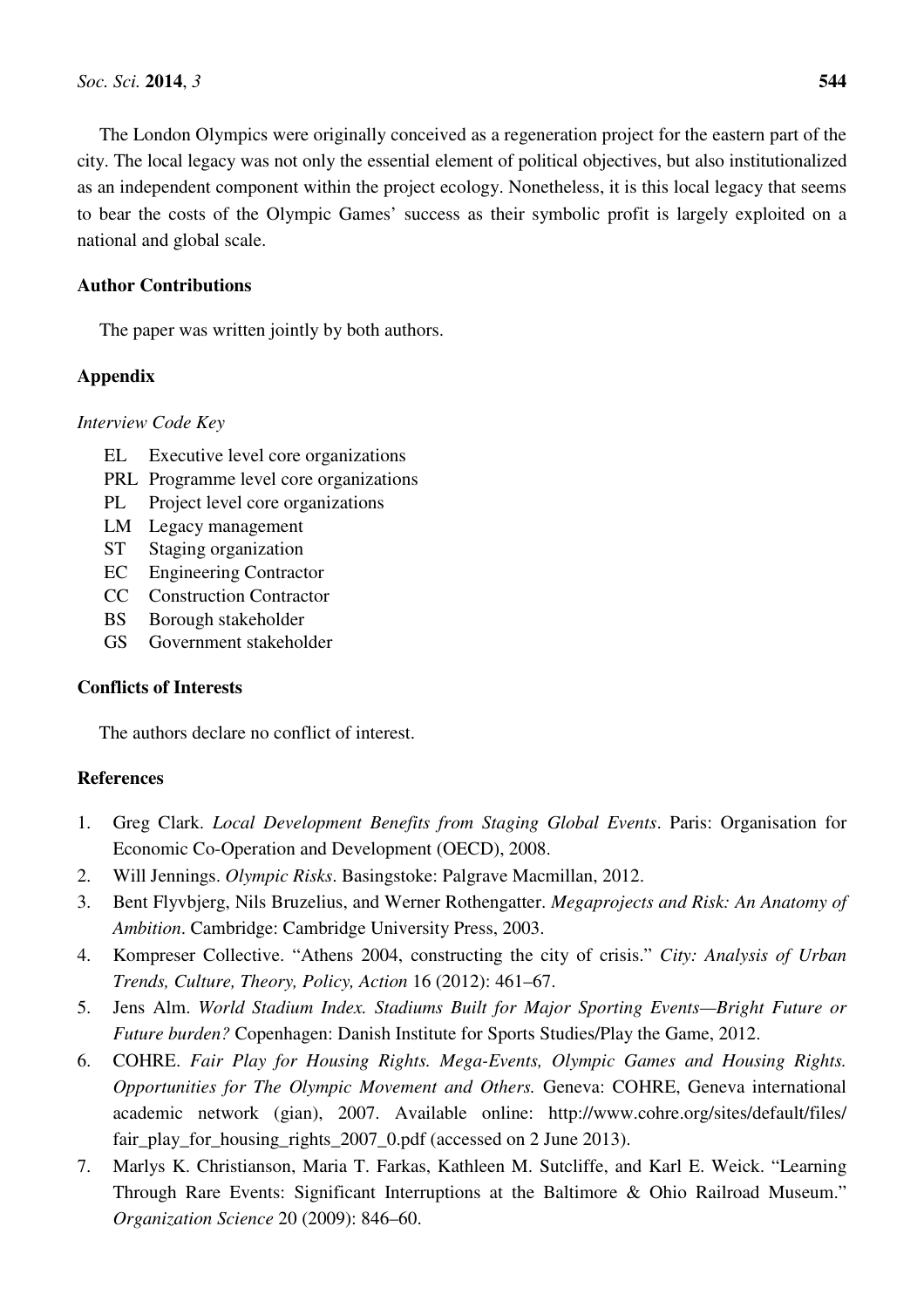The London Olympics were originally conceived as a regeneration project for the eastern part of the city. The local legacy was not only the essential element of political objectives, but also institutionalized as an independent component within the project ecology. Nonetheless, it is this local legacy that seems to bear the costs of the Olympic Games' success as their symbolic profit is largely exploited on a national and global scale.

# **Author Contributions**

The paper was written jointly by both authors.

# **Appendix**

# *Interview Code Key*

- EL Executive level core organizations
- PRL Programme level core organizations
- PL Project level core organizations
- LM Legacy management
- ST Staging organization
- EC Engineering Contractor
- CC Construction Contractor
- BS Borough stakeholder
- GS Government stakeholder

# **Conflicts of Interests**

The authors declare no conflict of interest.

# **References**

- 1. Greg Clark. *Local Development Benefits from Staging Global Events*. Paris: Organisation for Economic Co-Operation and Development (OECD), 2008.
- 2. Will Jennings. *Olympic Risks*. Basingstoke: Palgrave Macmillan, 2012.
- 3. Bent Flyvbjerg, Nils Bruzelius, and Werner Rothengatter. *Megaprojects and Risk: An Anatomy of Ambition*. Cambridge: Cambridge University Press, 2003.
- 4. Kompreser Collective. "Athens 2004, constructing the city of crisis." *City: Analysis of Urban Trends, Culture, Theory, Policy, Action* 16 (2012): 461–67.
- 5. Jens Alm. *World Stadium Index. Stadiums Built for Major Sporting Events—Bright Future or Future burden?* Copenhagen: Danish Institute for Sports Studies/Play the Game, 2012.
- 6. COHRE. *Fair Play for Housing Rights. Mega-Events, Olympic Games and Housing Rights. Opportunities for The Olympic Movement and Others.* Geneva: COHRE, Geneva international academic network (gian), 2007. Available online: http://www.cohre.org/sites/default/files/ fair\_play\_for\_housing\_rights\_2007\_0.pdf (accessed on 2 June 2013).
- 7. Marlys K. Christianson, Maria T. Farkas, Kathleen M. Sutcliffe, and Karl E. Weick. "Learning Through Rare Events: Significant Interruptions at the Baltimore & Ohio Railroad Museum." *Organization Science* 20 (2009): 846–60.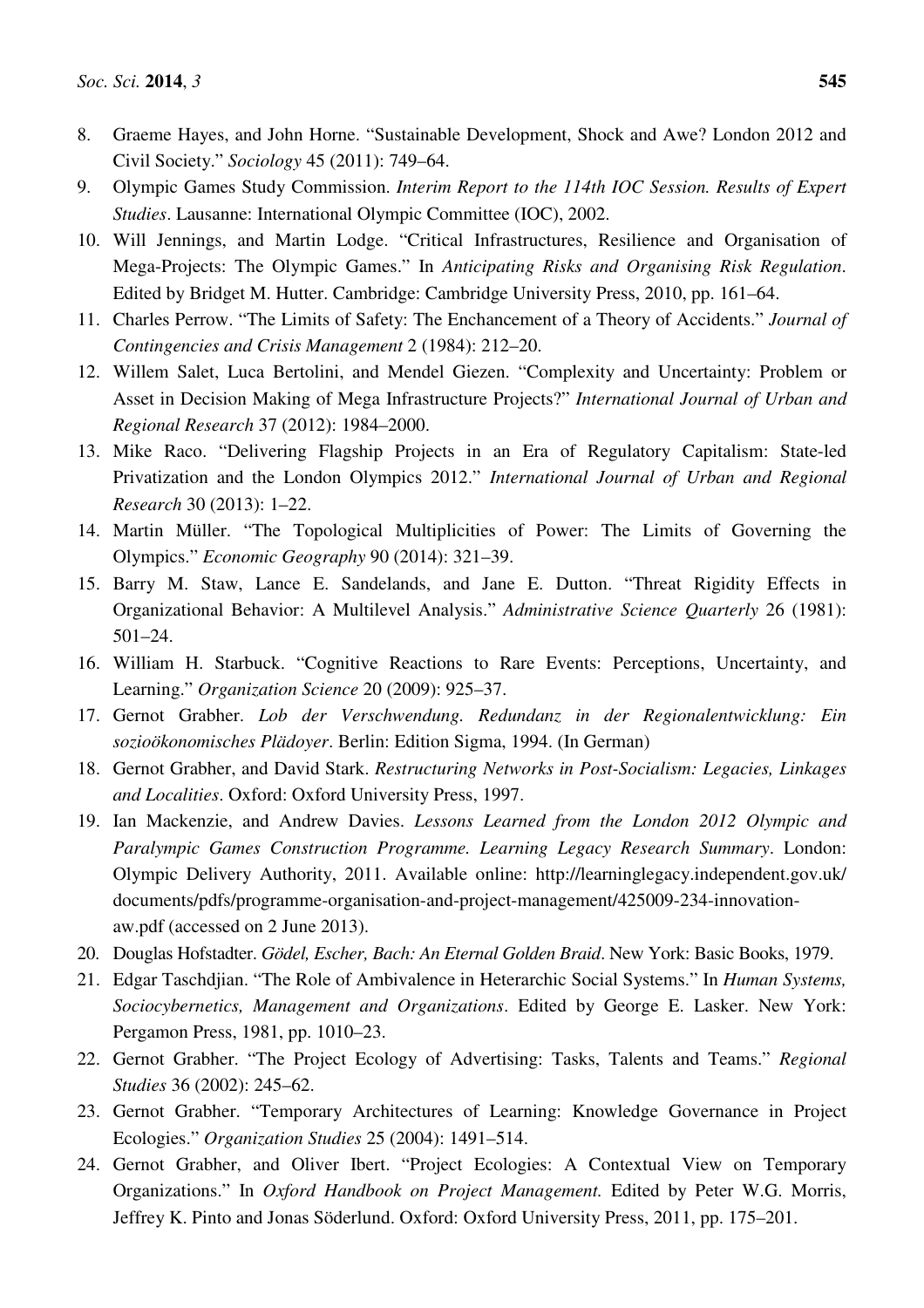- 8. Graeme Hayes, and John Horne. "Sustainable Development, Shock and Awe? London 2012 and Civil Society." *Sociology* 45 (2011): 749–64.
- 9. Olympic Games Study Commission. *Interim Report to the 114th IOC Session. Results of Expert Studies*. Lausanne: International Olympic Committee (IOC), 2002.
- 10. Will Jennings, and Martin Lodge. "Critical Infrastructures, Resilience and Organisation of Mega-Projects: The Olympic Games." In *Anticipating Risks and Organising Risk Regulation*. Edited by Bridget M. Hutter. Cambridge: Cambridge University Press, 2010, pp. 161–64.
- 11. Charles Perrow. "The Limits of Safety: The Enchancement of a Theory of Accidents." *Journal of Contingencies and Crisis Management* 2 (1984): 212–20.
- 12. Willem Salet, Luca Bertolini, and Mendel Giezen. "Complexity and Uncertainty: Problem or Asset in Decision Making of Mega Infrastructure Projects?" *International Journal of Urban and Regional Research* 37 (2012): 1984–2000.
- 13. Mike Raco. "Delivering Flagship Projects in an Era of Regulatory Capitalism: State-led Privatization and the London Olympics 2012." *International Journal of Urban and Regional Research* 30 (2013): 1–22.
- 14. Martin Müller. "The Topological Multiplicities of Power: The Limits of Governing the Olympics." *Economic Geography* 90 (2014): 321–39.
- 15. Barry M. Staw, Lance E. Sandelands, and Jane E. Dutton. "Threat Rigidity Effects in Organizational Behavior: A Multilevel Analysis." *Administrative Science Quarterly* 26 (1981): 501–24.
- 16. William H. Starbuck. "Cognitive Reactions to Rare Events: Perceptions, Uncertainty, and Learning." *Organization Science* 20 (2009): 925–37.
- 17. Gernot Grabher. *Lob der Verschwendung. Redundanz in der Regionalentwicklung: Ein sozioökonomisches Plädoyer*. Berlin: Edition Sigma, 1994. (In German)
- 18. Gernot Grabher, and David Stark. *Restructuring Networks in Post-Socialism: Legacies, Linkages and Localities*. Oxford: Oxford University Press, 1997.
- 19. Ian Mackenzie, and Andrew Davies. *Lessons Learned from the London 2012 Olympic and Paralympic Games Construction Programme. Learning Legacy Research Summary*. London: Olympic Delivery Authority, 2011. Available online: http://learninglegacy.independent.gov.uk/ documents/pdfs/programme-organisation-and-project-management/425009-234-innovationaw.pdf (accessed on 2 June 2013).
- 20. Douglas Hofstadter. *Gödel, Escher, Bach: An Eternal Golden Braid*. New York: Basic Books, 1979.
- 21. Edgar Taschdjian. "The Role of Ambivalence in Heterarchic Social Systems." In *Human Systems, Sociocybernetics, Management and Organizations*. Edited by George E. Lasker. New York: Pergamon Press, 1981, pp. 1010–23.
- 22. Gernot Grabher. "The Project Ecology of Advertising: Tasks, Talents and Teams." *Regional Studies* 36 (2002): 245–62.
- 23. Gernot Grabher. "Temporary Architectures of Learning: Knowledge Governance in Project Ecologies." *Organization Studies* 25 (2004): 1491–514.
- 24. Gernot Grabher, and Oliver Ibert. "Project Ecologies: A Contextual View on Temporary Organizations." In *Oxford Handbook on Project Management.* Edited by Peter W.G. Morris, Jeffrey K. Pinto and Jonas Söderlund. Oxford: Oxford University Press, 2011, pp. 175–201.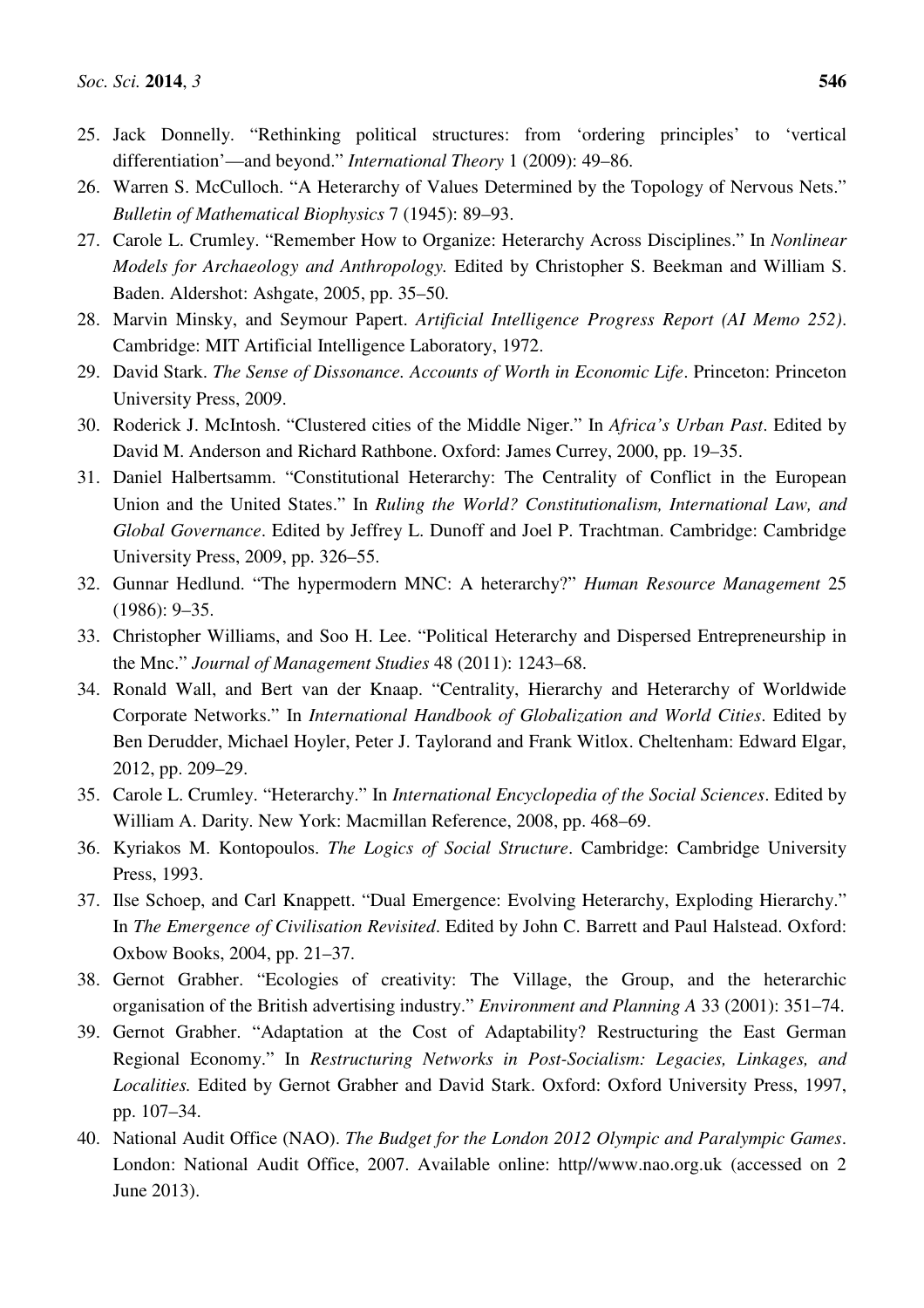- 26. Warren S. McCulloch. "A Heterarchy of Values Determined by the Topology of Nervous Nets." *Bulletin of Mathematical Biophysics* 7 (1945): 89–93.
- 27. Carole L. Crumley. "Remember How to Organize: Heterarchy Across Disciplines." In *Nonlinear Models for Archaeology and Anthropology.* Edited by Christopher S. Beekman and William S. Baden. Aldershot: Ashgate, 2005, pp. 35–50.
- 28. Marvin Minsky, and Seymour Papert. *Artificial Intelligence Progress Report (AI Memo 252)*. Cambridge: MIT Artificial Intelligence Laboratory, 1972.
- 29. David Stark. *The Sense of Dissonance. Accounts of Worth in Economic Life*. Princeton: Princeton University Press, 2009.
- 30. Roderick J. McIntosh. "Clustered cities of the Middle Niger." In *Africa's Urban Past*. Edited by David M. Anderson and Richard Rathbone. Oxford: James Currey, 2000, pp. 19–35.
- 31. Daniel Halbertsamm. "Constitutional Heterarchy: The Centrality of Conflict in the European Union and the United States." In *Ruling the World? Constitutionalism, International Law, and Global Governance*. Edited by Jeffrey L. Dunoff and Joel P. Trachtman. Cambridge: Cambridge University Press, 2009, pp. 326–55.
- 32. Gunnar Hedlund. "The hypermodern MNC: A heterarchy?" *Human Resource Management* 25 (1986): 9–35.
- 33. Christopher Williams, and Soo H. Lee. "Political Heterarchy and Dispersed Entrepreneurship in the Mnc." *Journal of Management Studies* 48 (2011): 1243–68.
- 34. Ronald Wall, and Bert van der Knaap. "Centrality, Hierarchy and Heterarchy of Worldwide Corporate Networks." In *International Handbook of Globalization and World Cities*. Edited by Ben Derudder, Michael Hoyler, Peter J. Taylorand and Frank Witlox. Cheltenham: Edward Elgar, 2012, pp. 209–29.
- 35. Carole L. Crumley. "Heterarchy." In *International Encyclopedia of the Social Sciences*. Edited by William A. Darity. New York: Macmillan Reference, 2008, pp. 468–69.
- 36. Kyriakos M. Kontopoulos. *The Logics of Social Structure*. Cambridge: Cambridge University Press, 1993.
- 37. Ilse Schoep, and Carl Knappett. "Dual Emergence: Evolving Heterarchy, Exploding Hierarchy." In *The Emergence of Civilisation Revisited*. Edited by John C. Barrett and Paul Halstead. Oxford: Oxbow Books, 2004, pp. 21–37.
- 38. Gernot Grabher. "Ecologies of creativity: The Village, the Group, and the heterarchic organisation of the British advertising industry." *Environment and Planning A* 33 (2001): 351–74.
- 39. Gernot Grabher. "Adaptation at the Cost of Adaptability? Restructuring the East German Regional Economy." In *Restructuring Networks in Post-Socialism: Legacies, Linkages, and Localities.* Edited by Gernot Grabher and David Stark. Oxford: Oxford University Press, 1997, pp. 107–34.
- 40. National Audit Office (NAO). *The Budget for the London 2012 Olympic and Paralympic Games*. London: National Audit Office, 2007. Available online: http//www.nao.org.uk (accessed on 2 June 2013).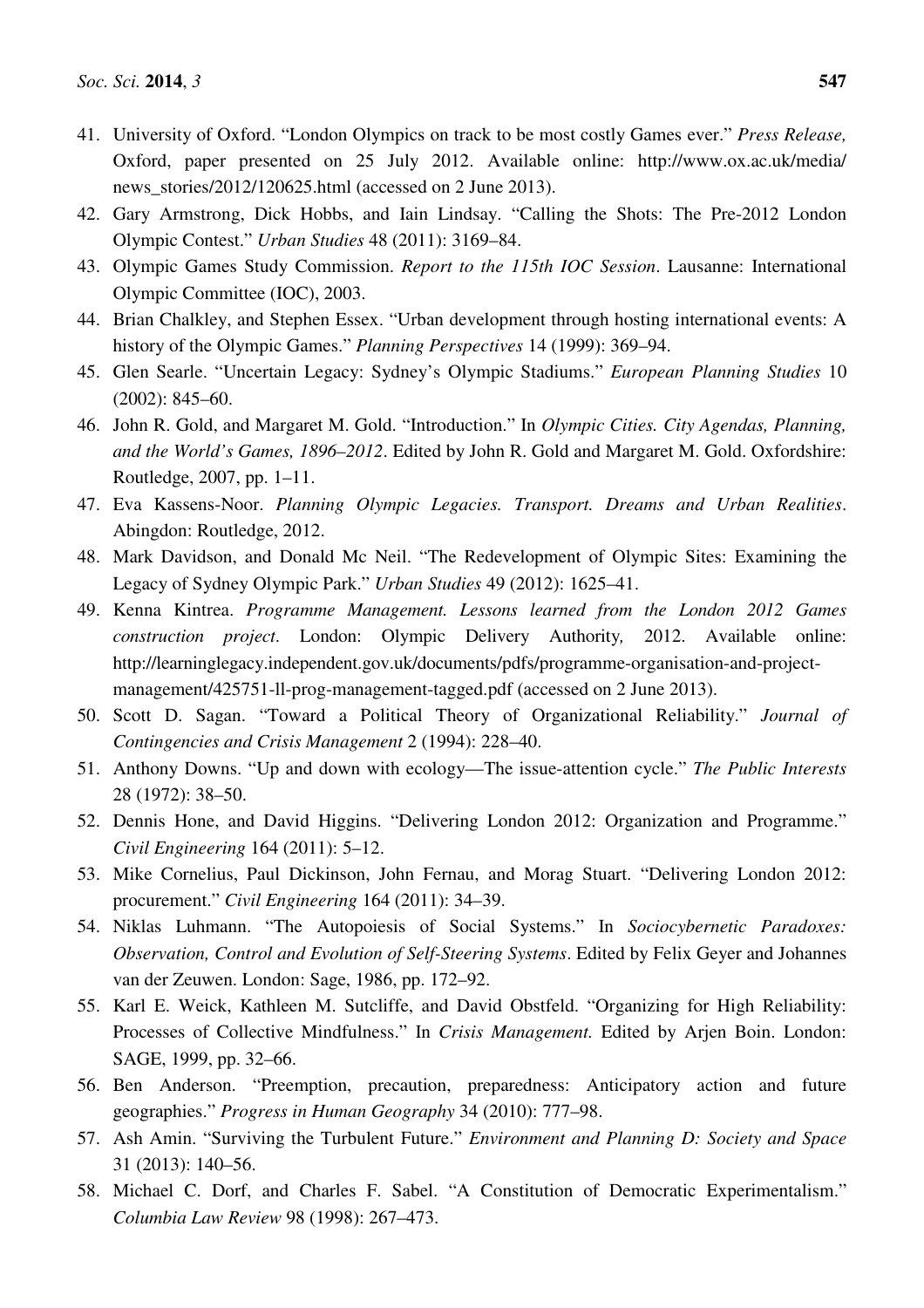- 41. University of Oxford. "London Olympics on track to be most costly Games ever." *Press Release,*  Oxford, paper presented on 25 July 2012. Available online: http://www.ox.ac.uk/media/ news stories/2012/120625.html (accessed on 2 June 2013).
- 42. Gary Armstrong, Dick Hobbs, and Iain Lindsay. "Calling the Shots: The Pre-2012 London Olympic Contest." *Urban Studies* 48 (2011): 3169–84.
- 43. Olympic Games Study Commission. *Report to the 115th IOC Session*. Lausanne: International Olympic Committee (IOC), 2003.
- 44. Brian Chalkley, and Stephen Essex. "Urban development through hosting international events: A history of the Olympic Games." *Planning Perspectives* 14 (1999): 369–94.
- 45. Glen Searle. "Uncertain Legacy: Sydney's Olympic Stadiums." *European Planning Studies* 10 (2002): 845–60.
- 46. John R. Gold, and Margaret M. Gold. "Introduction." In *Olympic Cities. City Agendas, Planning, and the World's Games, 1896–2012*. Edited by John R. Gold and Margaret M. Gold. Oxfordshire: Routledge, 2007, pp. 1–11.
- 47. Eva Kassens-Noor. *Planning Olympic Legacies. Transport. Dreams and Urban Realities*. Abingdon: Routledge, 2012.
- 48. Mark Davidson, and Donald Mc Neil. "The Redevelopment of Olympic Sites: Examining the Legacy of Sydney Olympic Park." *Urban Studies* 49 (2012): 1625–41.
- 49. Kenna Kintrea. *Programme Management. Lessons learned from the London 2012 Games construction project*. London: Olympic Delivery Authority*,* 2012. Available online: http://learninglegacy.independent.gov.uk/documents/pdfs/programme-organisation-and-projectmanagement/425751-ll-prog-management-tagged.pdf (accessed on 2 June 2013).
- 50. Scott D. Sagan. "Toward a Political Theory of Organizational Reliability." *Journal of Contingencies and Crisis Management* 2 (1994): 228–40.
- 51. Anthony Downs. "Up and down with ecology—The issue-attention cycle." *The Public Interests* 28 (1972): 38–50.
- 52. Dennis Hone, and David Higgins. "Delivering London 2012: Organization and Programme." *Civil Engineering* 164 (2011): 5–12.
- 53. Mike Cornelius, Paul Dickinson, John Fernau, and Morag Stuart. "Delivering London 2012: procurement." *Civil Engineering* 164 (2011): 34–39.
- 54. Niklas Luhmann. "The Autopoiesis of Social Systems." In *Sociocybernetic Paradoxes: Observation, Control and Evolution of Self-Steering Systems*. Edited by Felix Geyer and Johannes van der Zeuwen. London: Sage, 1986, pp. 172–92.
- 55. Karl E. Weick, Kathleen M. Sutcliffe, and David Obstfeld. "Organizing for High Reliability: Processes of Collective Mindfulness." In *Crisis Management.* Edited by Arjen Boin. London: SAGE, 1999, pp. 32–66.
- 56. Ben Anderson. "Preemption, precaution, preparedness: Anticipatory action and future geographies." *Progress in Human Geography* 34 (2010): 777–98.
- 57. Ash Amin. "Surviving the Turbulent Future." *Environment and Planning D: Society and Space*  31 (2013): 140–56.
- 58. Michael C. Dorf, and Charles F. Sabel. "A Constitution of Democratic Experimentalism." *Columbia Law Review* 98 (1998): 267–473.